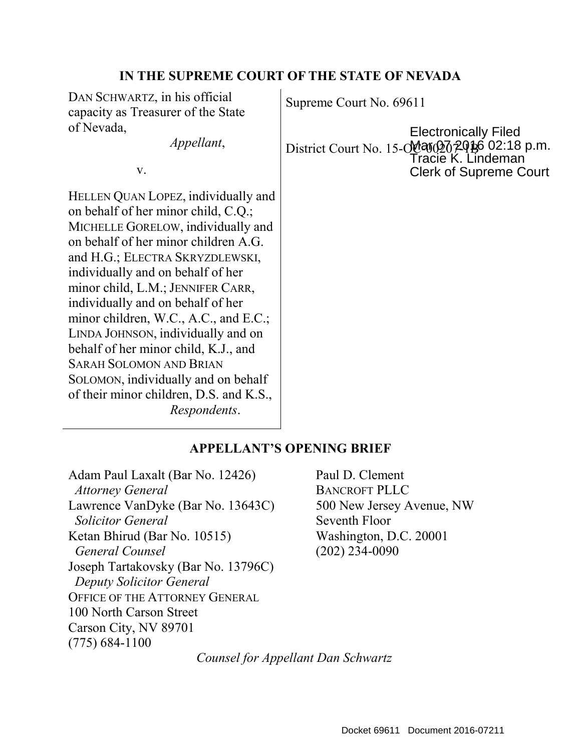## **IN THE SUPREME COURT OF THE STATE OF NEVADA**

DAN SCHWARTZ, in his official capacity as Treasurer of the State of Nevada,

v.

HELLEN QUAN LOPEZ, individually and on behalf of her minor child, C.Q.; MICHELLE GORELOW, individually and on behalf of her minor children A.G. and H.G.; ELECTRA SKRYZDLEWSKI, individually and on behalf of her minor child, L.M.; JENNIFER CARR, individually and on behalf of her minor children, W.C., A.C., and E.C.; LINDA JOHNSON, individually and on behalf of her minor child, K.J., and SARAH SOLOMON AND BRIAN SOLOMON, individually and on behalf of their minor children, D.S. and K.S., *Respondents*.

Supreme Court No. 69611

*Appellant*, **District Court No. 15-00 2020** 20:18 p.m. Electronically Filed Tracie K. Lindeman Clerk of Supreme Court

### **APPELLANT'S OPENING BRIEF**

Adam Paul Laxalt (Bar No. 12426) Paul D. Clement *Attorney General* BANCROFT PLLC Lawrence VanDyke (Bar No. 13643C) 500 New Jersey Avenue, NW **Solicitor General Seventh Floor** Ketan Bhirud (Bar No. 10515) Washington, D.C. 20001  *General Counsel* (202) 234-0090 Joseph Tartakovsky (Bar No. 13796C)  *Deputy Solicitor General*  OFFICE OF THE ATTORNEY GENERAL 100 North Carson Street Carson City, NV 89701 (775) 684-1100

*Counsel for Appellant Dan Schwartz*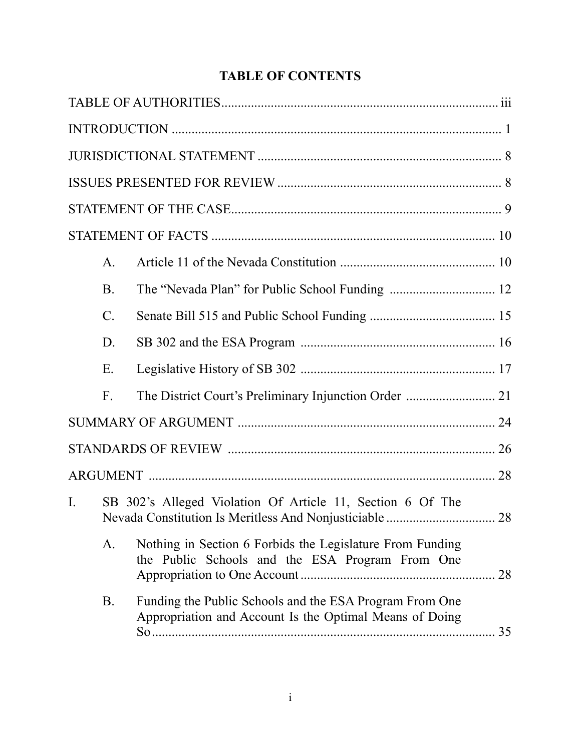# **TABLE OF CONTENTS**

|    | $\mathbf{A}$ .                                             |                                                                                                                    |  |
|----|------------------------------------------------------------|--------------------------------------------------------------------------------------------------------------------|--|
|    | <b>B</b> .                                                 |                                                                                                                    |  |
|    | $\mathcal{C}$ .                                            |                                                                                                                    |  |
|    | D.                                                         |                                                                                                                    |  |
|    | Ε.                                                         |                                                                                                                    |  |
|    | $F_{\cdot}$                                                |                                                                                                                    |  |
|    |                                                            |                                                                                                                    |  |
|    |                                                            |                                                                                                                    |  |
|    |                                                            |                                                                                                                    |  |
| I. | SB 302's Alleged Violation Of Article 11, Section 6 Of The |                                                                                                                    |  |
|    | A.                                                         | Nothing in Section 6 Forbids the Legislature From Funding<br>the Public Schools and the ESA Program From One       |  |
|    | <b>B.</b>                                                  | Funding the Public Schools and the ESA Program From One<br>Appropriation and Account Is the Optimal Means of Doing |  |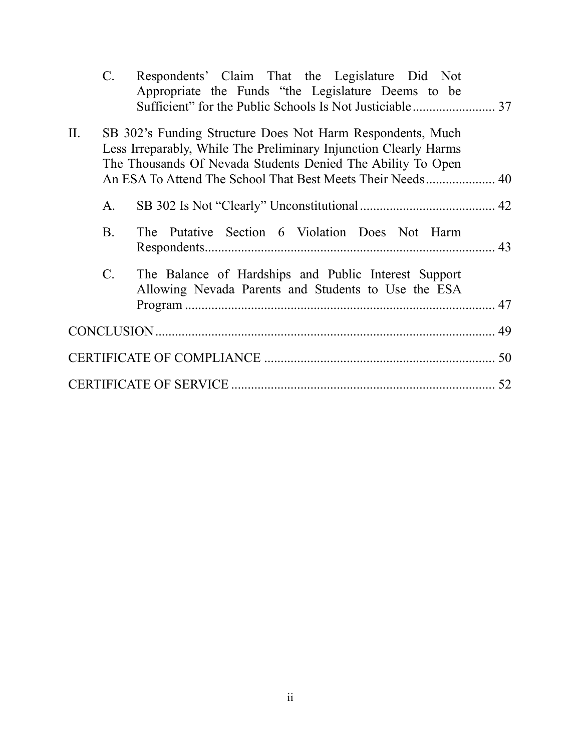|     | $C_{\cdot}$     | Respondents' Claim That the Legislature Did Not<br>Appropriate the Funds "the Legislature Deems to be                                                                                         |    |
|-----|-----------------|-----------------------------------------------------------------------------------------------------------------------------------------------------------------------------------------------|----|
|     |                 |                                                                                                                                                                                               |    |
| II. |                 | SB 302's Funding Structure Does Not Harm Respondents, Much<br>Less Irreparably, While The Preliminary Injunction Clearly Harms<br>The Thousands Of Nevada Students Denied The Ability To Open |    |
|     | A.              |                                                                                                                                                                                               |    |
|     | <b>B</b> .      | The Putative Section 6 Violation Does Not Harm                                                                                                                                                |    |
|     | $\mathcal{C}$ . | The Balance of Hardships and Public Interest Support<br>Allowing Nevada Parents and Students to Use the ESA                                                                                   |    |
|     |                 |                                                                                                                                                                                               |    |
|     |                 |                                                                                                                                                                                               |    |
|     |                 |                                                                                                                                                                                               | 52 |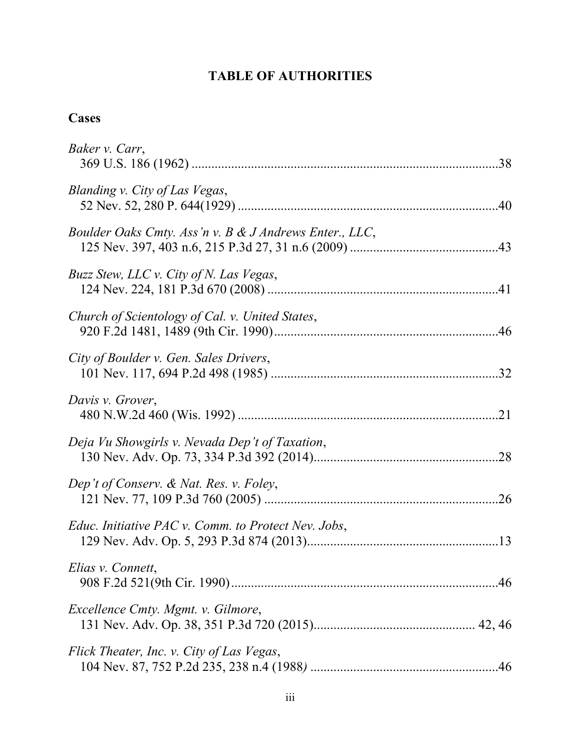# **TABLE OF AUTHORITIES**

# **Cases**

| Baker v. Carr,                                         |  |
|--------------------------------------------------------|--|
| Blanding v. City of Las Vegas,                         |  |
| Boulder Oaks Cmty. Ass'n v. B & J Andrews Enter., LLC, |  |
| Buzz Stew, LLC v. City of N. Las Vegas,                |  |
| Church of Scientology of Cal. v. United States,        |  |
| City of Boulder v. Gen. Sales Drivers,                 |  |
| Davis v. Grover,                                       |  |
| Deja Vu Showgirls v. Nevada Dep't of Taxation,         |  |
| Dep't of Conserv. & Nat. Res. v. Foley,                |  |
| Educ. Initiative PAC v. Comm. to Protect Nev. Jobs,    |  |
| Elias v. Connett,                                      |  |
| <i>Excellence Cmty. Mgmt. v. Gilmore,</i>              |  |
| Flick Theater, Inc. v. City of Las Vegas,              |  |
|                                                        |  |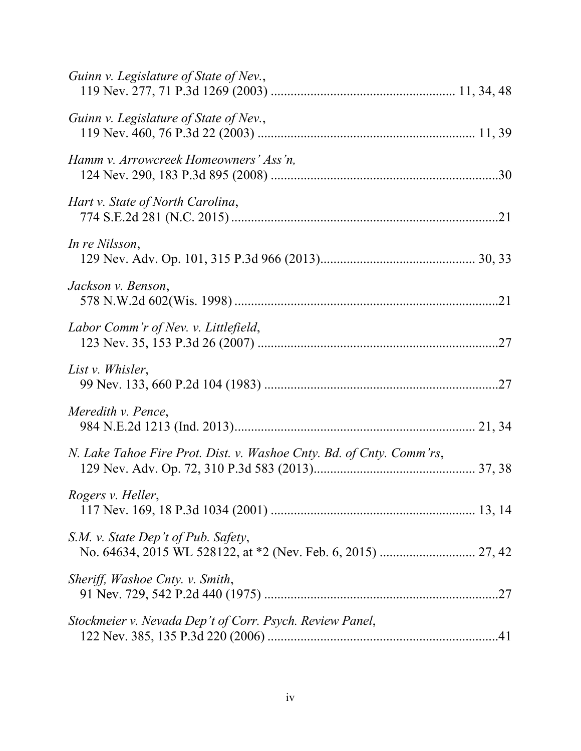| Guinn v. Legislature of State of Nev.,                               |  |
|----------------------------------------------------------------------|--|
| Guinn v. Legislature of State of Nev.,                               |  |
| Hamm v. Arrowcreek Homeowners' Ass'n,                                |  |
| Hart v. State of North Carolina,                                     |  |
| In re Nilsson,                                                       |  |
| Jackson v. Benson,                                                   |  |
| Labor Comm'r of Nev. v. Littlefield,                                 |  |
| List v. Whisler,                                                     |  |
| Meredith v. Pence,                                                   |  |
| N. Lake Tahoe Fire Prot. Dist. v. Washoe Cnty. Bd. of Cnty. Comm'rs, |  |
| Rogers v. Heller,                                                    |  |
| S.M. v. State Dep't of Pub. Safety,                                  |  |
| Sheriff, Washoe Cnty. v. Smith,                                      |  |
| Stockmeier v. Nevada Dep't of Corr. Psych. Review Panel,             |  |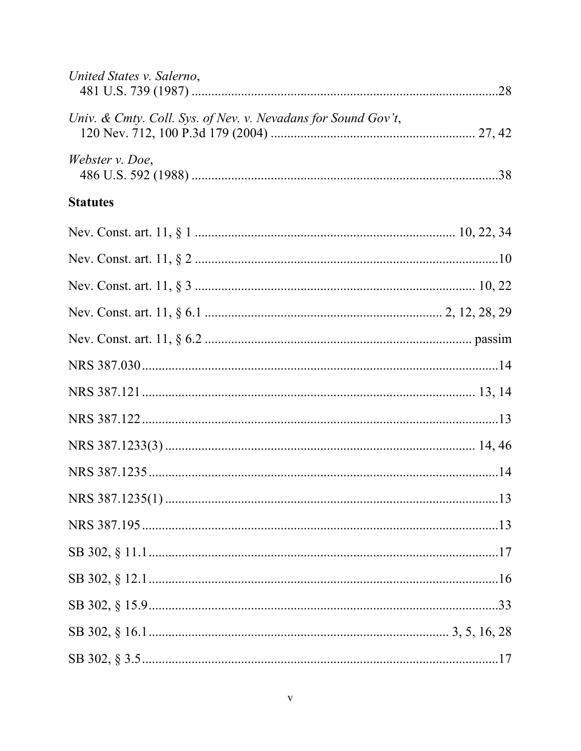| United States v. Salerno,                                     |  |
|---------------------------------------------------------------|--|
| Univ. & Cmty. Coll. Sys. of Nev. v. Nevadans for Sound Gov't, |  |
| Webster v. Doe,                                               |  |
| <b>Statutes</b>                                               |  |
|                                                               |  |
|                                                               |  |
|                                                               |  |
|                                                               |  |
|                                                               |  |
|                                                               |  |
|                                                               |  |
|                                                               |  |
|                                                               |  |
|                                                               |  |
|                                                               |  |
|                                                               |  |
|                                                               |  |
|                                                               |  |
|                                                               |  |
|                                                               |  |
|                                                               |  |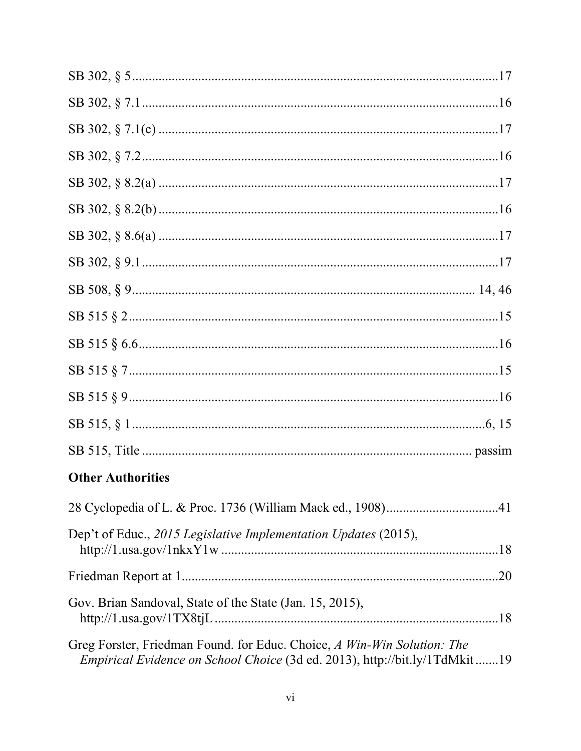| <b>Other Authorities</b>                                                                                                                              |  |
|-------------------------------------------------------------------------------------------------------------------------------------------------------|--|
|                                                                                                                                                       |  |
| Dep't of Educ., 2015 Legislative Implementation Updates (2015),                                                                                       |  |
|                                                                                                                                                       |  |
| Gov. Brian Sandoval, State of the State (Jan. 15, 2015),                                                                                              |  |
| Greg Forster, Friedman Found. for Educ. Choice, A Win-Win Solution: The<br>Empirical Evidence on School Choice (3d ed. 2013), http://bit.ly/1TdMkit19 |  |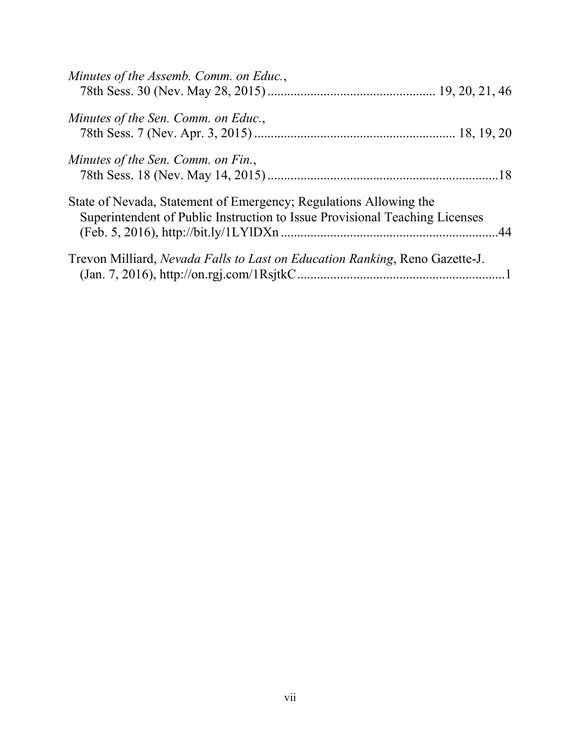| Minutes of the Assemb. Comm. on Educ.,                                                                                                           |  |
|--------------------------------------------------------------------------------------------------------------------------------------------------|--|
| Minutes of the Sen. Comm. on Educ.,                                                                                                              |  |
| Minutes of the Sen. Comm. on Fin.,                                                                                                               |  |
| State of Nevada, Statement of Emergency; Regulations Allowing the<br>Superintendent of Public Instruction to Issue Provisional Teaching Licenses |  |
| Trevon Milliard, <i>Nevada Falls to Last on Education Ranking</i> , Reno Gazette-J.                                                              |  |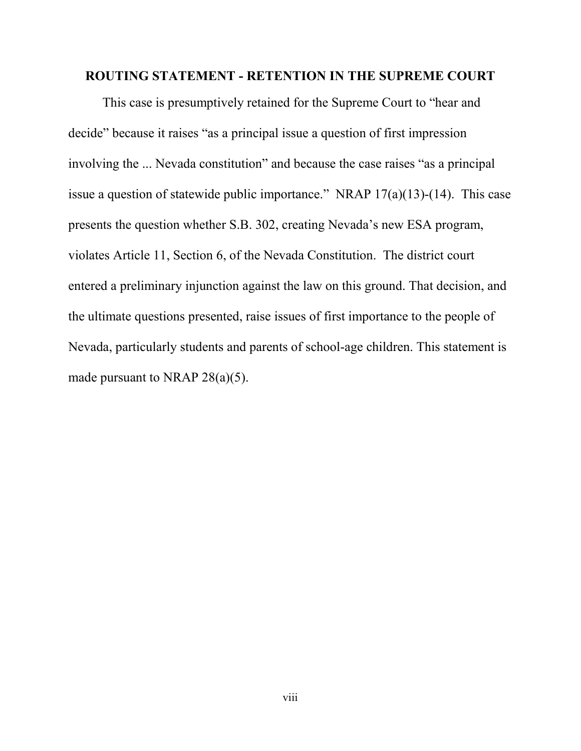#### **ROUTING STATEMENT - RETENTION IN THE SUPREME COURT**

This case is presumptively retained for the Supreme Court to "hear and decide" because it raises "as a principal issue a question of first impression involving the ... Nevada constitution" and because the case raises "as a principal issue a question of statewide public importance." NRAP  $17(a)(13)-(14)$ . This case presents the question whether S.B. 302, creating Nevada's new ESA program, violates Article 11, Section 6, of the Nevada Constitution. The district court entered a preliminary injunction against the law on this ground. That decision, and the ultimate questions presented, raise issues of first importance to the people of Nevada, particularly students and parents of school-age children. This statement is made pursuant to NRAP  $28(a)(5)$ .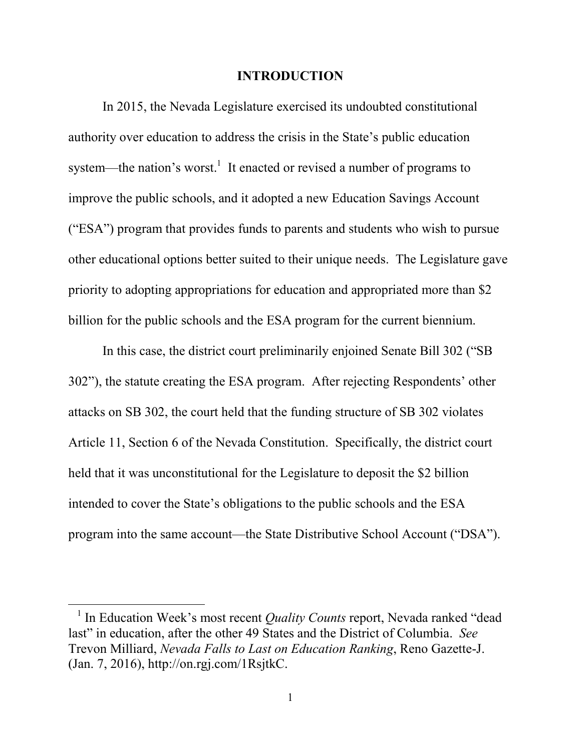#### **INTRODUCTION**

In 2015, the Nevada Legislature exercised its undoubted constitutional authority over education to address the crisis in the State's public education system—the nation's worst.<sup>1</sup> It enacted or revised a number of programs to improve the public schools, and it adopted a new Education Savings Account ("ESA") program that provides funds to parents and students who wish to pursue other educational options better suited to their unique needs. The Legislature gave priority to adopting appropriations for education and appropriated more than \$2 billion for the public schools and the ESA program for the current biennium.

In this case, the district court preliminarily enjoined Senate Bill 302 ("SB 302"), the statute creating the ESA program. After rejecting Respondents' other attacks on SB 302, the court held that the funding structure of SB 302 violates Article 11, Section 6 of the Nevada Constitution. Specifically, the district court held that it was unconstitutional for the Legislature to deposit the \$2 billion intended to cover the State's obligations to the public schools and the ESA program into the same account—the State Distributive School Account ("DSA").

<sup>&</sup>lt;sup>1</sup> In Education Week's most recent *Quality Counts* report, Nevada ranked "dead last" in education, after the other 49 States and the District of Columbia. *See* Trevon Milliard, *Nevada Falls to Last on Education Ranking*, Reno Gazette-J. (Jan. 7, 2016), http://on.rgj.com/1RsjtkC.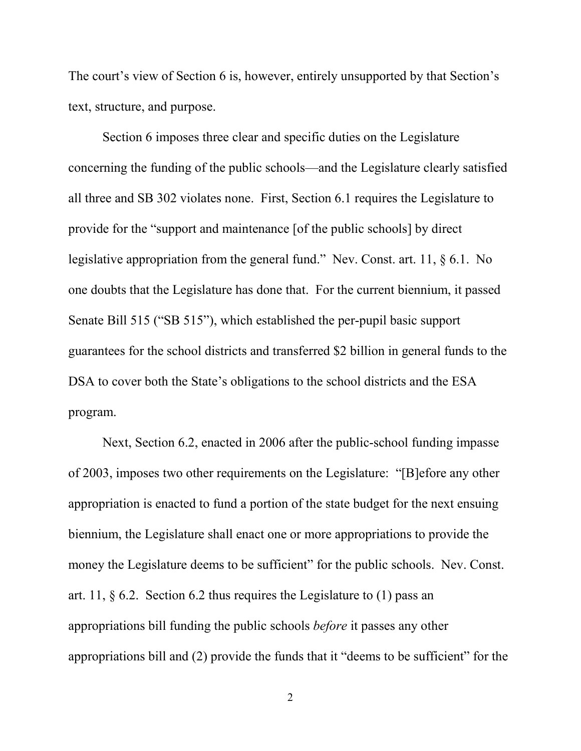The court's view of Section 6 is, however, entirely unsupported by that Section's text, structure, and purpose.

Section 6 imposes three clear and specific duties on the Legislature concerning the funding of the public schools—and the Legislature clearly satisfied all three and SB 302 violates none. First, Section 6.1 requires the Legislature to provide for the "support and maintenance [of the public schools] by direct legislative appropriation from the general fund." Nev. Const. art. 11, § 6.1. No one doubts that the Legislature has done that. For the current biennium, it passed Senate Bill 515 ("SB 515"), which established the per-pupil basic support guarantees for the school districts and transferred \$2 billion in general funds to the DSA to cover both the State's obligations to the school districts and the ESA program.

Next, Section 6.2, enacted in 2006 after the public-school funding impasse of 2003, imposes two other requirements on the Legislature: "[B]efore any other appropriation is enacted to fund a portion of the state budget for the next ensuing biennium, the Legislature shall enact one or more appropriations to provide the money the Legislature deems to be sufficient" for the public schools. Nev. Const. art. 11,  $\S$  6.2. Section 6.2 thus requires the Legislature to (1) pass an appropriations bill funding the public schools *before* it passes any other appropriations bill and (2) provide the funds that it "deems to be sufficient" for the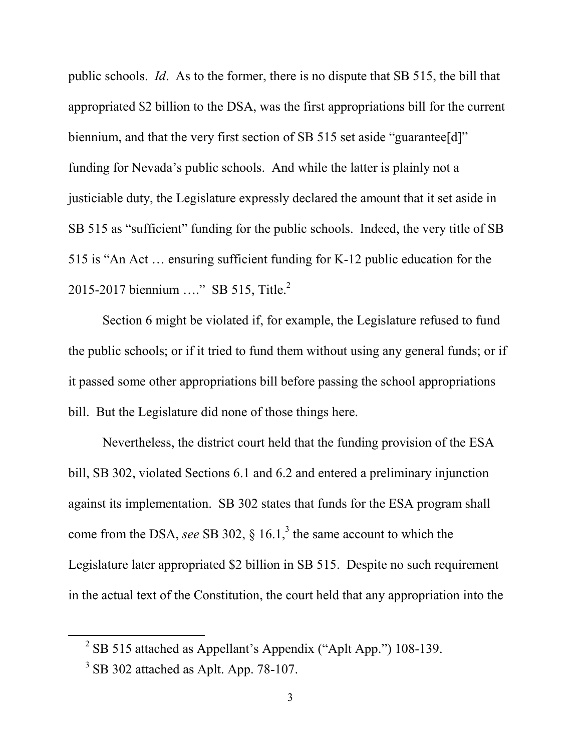public schools. *Id*. As to the former, there is no dispute that SB 515, the bill that appropriated \$2 billion to the DSA, was the first appropriations bill for the current biennium, and that the very first section of SB 515 set aside "guarantee[d]" funding for Nevada's public schools. And while the latter is plainly not a justiciable duty, the Legislature expressly declared the amount that it set aside in SB 515 as "sufficient" funding for the public schools. Indeed, the very title of SB 515 is "An Act … ensuring sufficient funding for K-12 public education for the 2015-2017 biennium ...." SB 515, Title.<sup>2</sup>

Section 6 might be violated if, for example, the Legislature refused to fund the public schools; or if it tried to fund them without using any general funds; or if it passed some other appropriations bill before passing the school appropriations bill. But the Legislature did none of those things here.

Nevertheless, the district court held that the funding provision of the ESA bill, SB 302, violated Sections 6.1 and 6.2 and entered a preliminary injunction against its implementation. SB 302 states that funds for the ESA program shall come from the DSA, *see* SB 302,  $\S$  16.1,<sup>3</sup> the same account to which the Legislature later appropriated \$2 billion in SB 515. Despite no such requirement in the actual text of the Constitution, the court held that any appropriation into the

 $2^{2}$  SB 515 attached as Appellant's Appendix ("Aplt App.") 108-139.

<sup>&</sup>lt;sup>3</sup> SB 302 attached as Aplt. App. 78-107.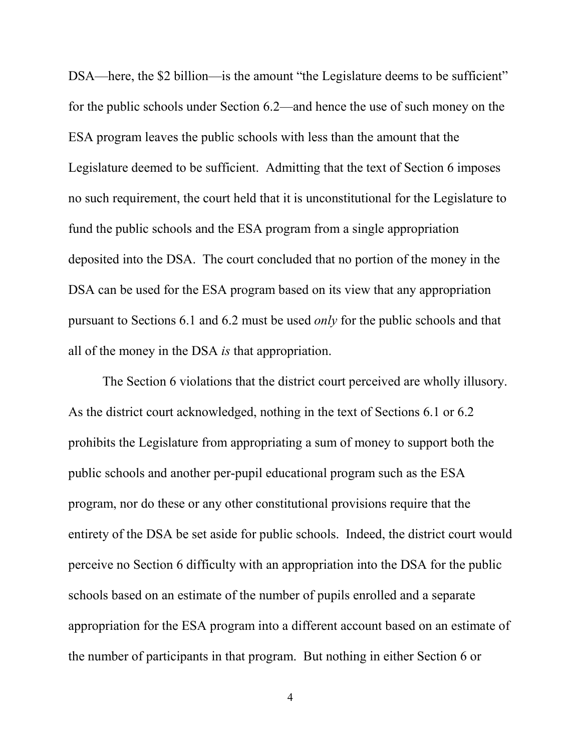DSA—here, the \$2 billion—is the amount "the Legislature deems to be sufficient" for the public schools under Section 6.2—and hence the use of such money on the ESA program leaves the public schools with less than the amount that the Legislature deemed to be sufficient. Admitting that the text of Section 6 imposes no such requirement, the court held that it is unconstitutional for the Legislature to fund the public schools and the ESA program from a single appropriation deposited into the DSA. The court concluded that no portion of the money in the DSA can be used for the ESA program based on its view that any appropriation pursuant to Sections 6.1 and 6.2 must be used *only* for the public schools and that all of the money in the DSA *is* that appropriation.

The Section 6 violations that the district court perceived are wholly illusory. As the district court acknowledged, nothing in the text of Sections 6.1 or 6.2 prohibits the Legislature from appropriating a sum of money to support both the public schools and another per-pupil educational program such as the ESA program, nor do these or any other constitutional provisions require that the entirety of the DSA be set aside for public schools. Indeed, the district court would perceive no Section 6 difficulty with an appropriation into the DSA for the public schools based on an estimate of the number of pupils enrolled and a separate appropriation for the ESA program into a different account based on an estimate of the number of participants in that program. But nothing in either Section 6 or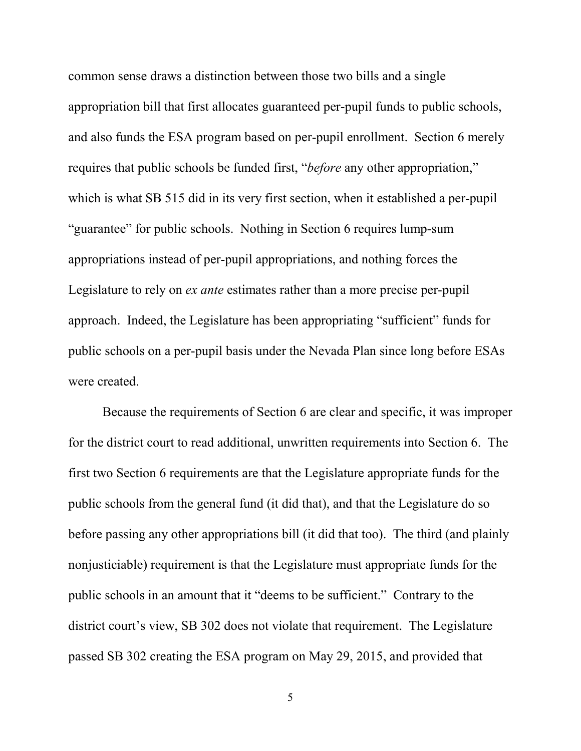common sense draws a distinction between those two bills and a single appropriation bill that first allocates guaranteed per-pupil funds to public schools, and also funds the ESA program based on per-pupil enrollment. Section 6 merely requires that public schools be funded first, "*before* any other appropriation," which is what SB 515 did in its very first section, when it established a per-pupil "guarantee" for public schools. Nothing in Section 6 requires lump-sum appropriations instead of per-pupil appropriations, and nothing forces the Legislature to rely on *ex ante* estimates rather than a more precise per-pupil approach. Indeed, the Legislature has been appropriating "sufficient" funds for public schools on a per-pupil basis under the Nevada Plan since long before ESAs were created.

Because the requirements of Section 6 are clear and specific, it was improper for the district court to read additional, unwritten requirements into Section 6. The first two Section 6 requirements are that the Legislature appropriate funds for the public schools from the general fund (it did that), and that the Legislature do so before passing any other appropriations bill (it did that too). The third (and plainly nonjusticiable) requirement is that the Legislature must appropriate funds for the public schools in an amount that it "deems to be sufficient." Contrary to the district court's view, SB 302 does not violate that requirement. The Legislature passed SB 302 creating the ESA program on May 29, 2015, and provided that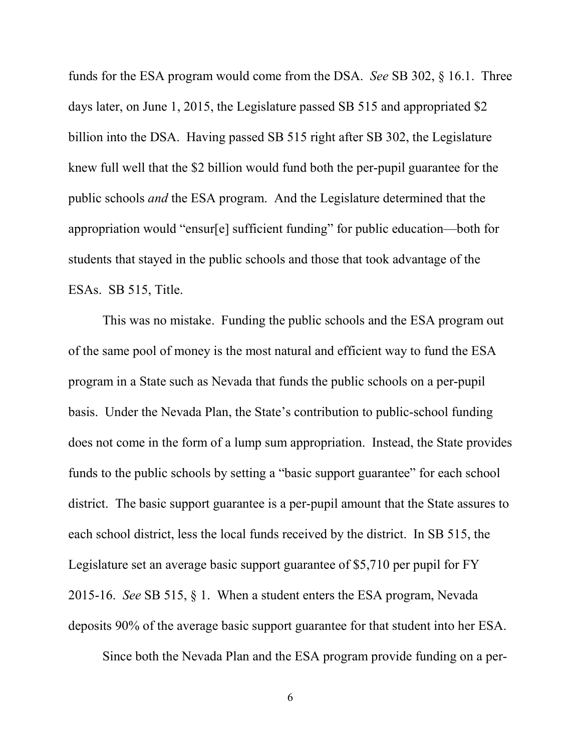funds for the ESA program would come from the DSA. *See* SB 302, § 16.1. Three days later, on June 1, 2015, the Legislature passed SB 515 and appropriated \$2 billion into the DSA. Having passed SB 515 right after SB 302, the Legislature knew full well that the \$2 billion would fund both the per-pupil guarantee for the public schools *and* the ESA program. And the Legislature determined that the appropriation would "ensur[e] sufficient funding" for public education—both for students that stayed in the public schools and those that took advantage of the ESAs. SB 515, Title.

This was no mistake. Funding the public schools and the ESA program out of the same pool of money is the most natural and efficient way to fund the ESA program in a State such as Nevada that funds the public schools on a per-pupil basis. Under the Nevada Plan, the State's contribution to public-school funding does not come in the form of a lump sum appropriation. Instead, the State provides funds to the public schools by setting a "basic support guarantee" for each school district. The basic support guarantee is a per-pupil amount that the State assures to each school district, less the local funds received by the district. In SB 515, the Legislature set an average basic support guarantee of \$5,710 per pupil for FY 2015-16. *See* SB 515, § 1. When a student enters the ESA program, Nevada deposits 90% of the average basic support guarantee for that student into her ESA.

Since both the Nevada Plan and the ESA program provide funding on a per-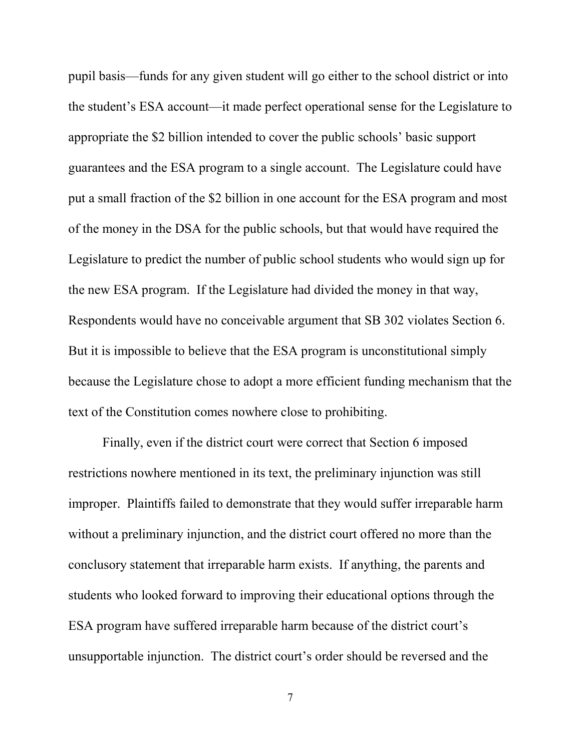pupil basis—funds for any given student will go either to the school district or into the student's ESA account—it made perfect operational sense for the Legislature to appropriate the \$2 billion intended to cover the public schools' basic support guarantees and the ESA program to a single account. The Legislature could have put a small fraction of the \$2 billion in one account for the ESA program and most of the money in the DSA for the public schools, but that would have required the Legislature to predict the number of public school students who would sign up for the new ESA program. If the Legislature had divided the money in that way, Respondents would have no conceivable argument that SB 302 violates Section 6. But it is impossible to believe that the ESA program is unconstitutional simply because the Legislature chose to adopt a more efficient funding mechanism that the text of the Constitution comes nowhere close to prohibiting.

Finally, even if the district court were correct that Section 6 imposed restrictions nowhere mentioned in its text, the preliminary injunction was still improper. Plaintiffs failed to demonstrate that they would suffer irreparable harm without a preliminary injunction, and the district court offered no more than the conclusory statement that irreparable harm exists. If anything, the parents and students who looked forward to improving their educational options through the ESA program have suffered irreparable harm because of the district court's unsupportable injunction. The district court's order should be reversed and the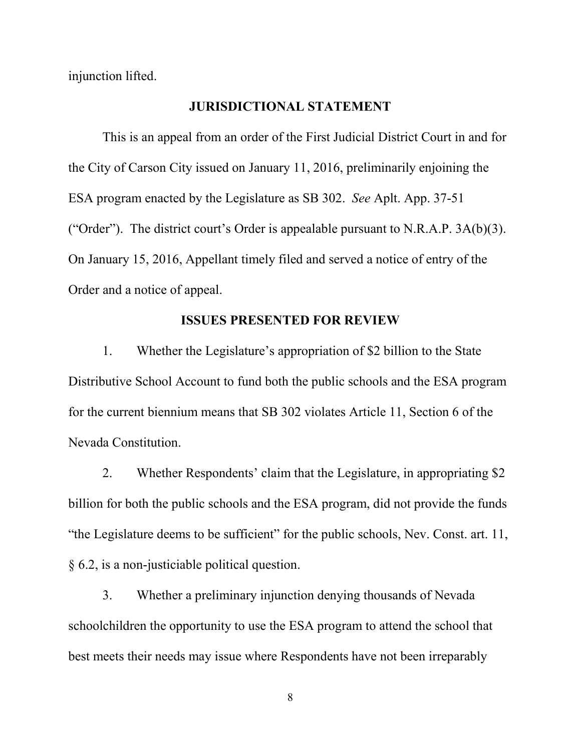injunction lifted.

### **JURISDICTIONAL STATEMENT**

This is an appeal from an order of the First Judicial District Court in and for the City of Carson City issued on January 11, 2016, preliminarily enjoining the ESA program enacted by the Legislature as SB 302. *See* Aplt. App. 37-51 ("Order"). The district court's Order is appealable pursuant to N.R.A.P.  $3A(b)(3)$ . On January 15, 2016, Appellant timely filed and served a notice of entry of the Order and a notice of appeal.

### **ISSUES PRESENTED FOR REVIEW**

1. Whether the Legislature's appropriation of \$2 billion to the State Distributive School Account to fund both the public schools and the ESA program for the current biennium means that SB 302 violates Article 11, Section 6 of the Nevada Constitution.

2. Whether Respondents' claim that the Legislature, in appropriating \$2 billion for both the public schools and the ESA program, did not provide the funds "the Legislature deems to be sufficient" for the public schools, Nev. Const. art. 11, § 6.2, is a non-justiciable political question.

3. Whether a preliminary injunction denying thousands of Nevada schoolchildren the opportunity to use the ESA program to attend the school that best meets their needs may issue where Respondents have not been irreparably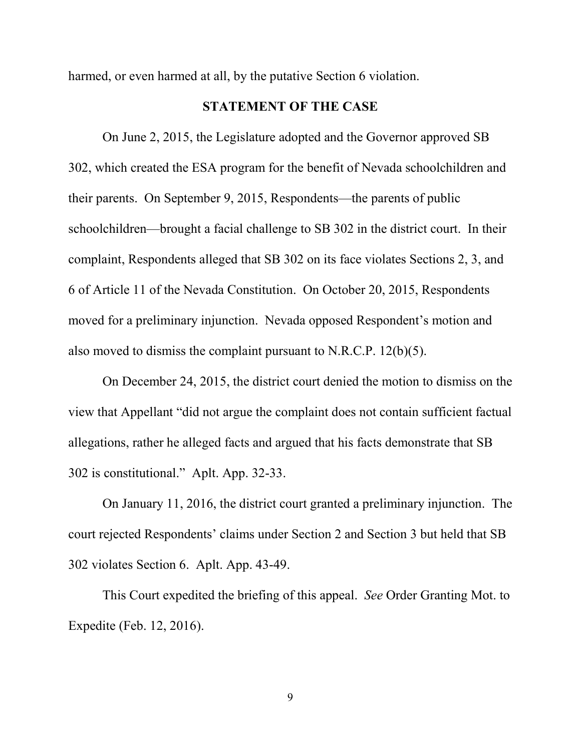harmed, or even harmed at all, by the putative Section 6 violation.

### **STATEMENT OF THE CASE**

On June 2, 2015, the Legislature adopted and the Governor approved SB 302, which created the ESA program for the benefit of Nevada schoolchildren and their parents. On September 9, 2015, Respondents—the parents of public schoolchildren—brought a facial challenge to SB 302 in the district court. In their complaint, Respondents alleged that SB 302 on its face violates Sections 2, 3, and 6 of Article 11 of the Nevada Constitution. On October 20, 2015, Respondents moved for a preliminary injunction. Nevada opposed Respondent's motion and also moved to dismiss the complaint pursuant to N.R.C.P. 12(b)(5).

On December 24, 2015, the district court denied the motion to dismiss on the view that Appellant "did not argue the complaint does not contain sufficient factual allegations, rather he alleged facts and argued that his facts demonstrate that SB 302 is constitutional." Aplt. App. 32-33.

On January 11, 2016, the district court granted a preliminary injunction. The court rejected Respondents' claims under Section 2 and Section 3 but held that SB 302 violates Section 6. Aplt. App. 43-49.

This Court expedited the briefing of this appeal. *See* Order Granting Mot. to Expedite (Feb. 12, 2016).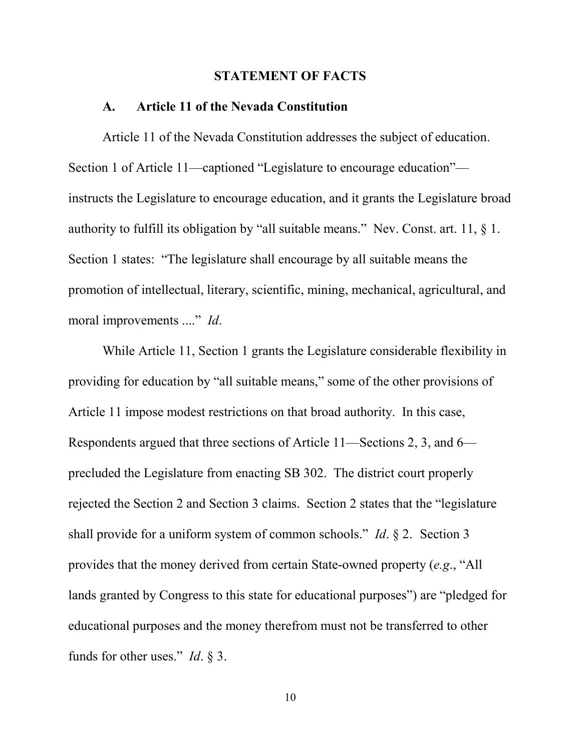#### **STATEMENT OF FACTS**

#### **A. Article 11 of the Nevada Constitution**

Article 11 of the Nevada Constitution addresses the subject of education. Section 1 of Article 11—captioned "Legislature to encourage education" instructs the Legislature to encourage education, and it grants the Legislature broad authority to fulfill its obligation by "all suitable means." Nev. Const. art. 11, § 1. Section 1 states: "The legislature shall encourage by all suitable means the promotion of intellectual, literary, scientific, mining, mechanical, agricultural, and moral improvements ...." *Id*.

While Article 11, Section 1 grants the Legislature considerable flexibility in providing for education by "all suitable means," some of the other provisions of Article 11 impose modest restrictions on that broad authority. In this case, Respondents argued that three sections of Article 11—Sections 2, 3, and 6 precluded the Legislature from enacting SB 302. The district court properly rejected the Section 2 and Section 3 claims. Section 2 states that the "legislature shall provide for a uniform system of common schools." *Id*. § 2. Section 3 provides that the money derived from certain State-owned property (*e.g*., "All lands granted by Congress to this state for educational purposes") are "pledged for educational purposes and the money therefrom must not be transferred to other funds for other uses." *Id*. § 3.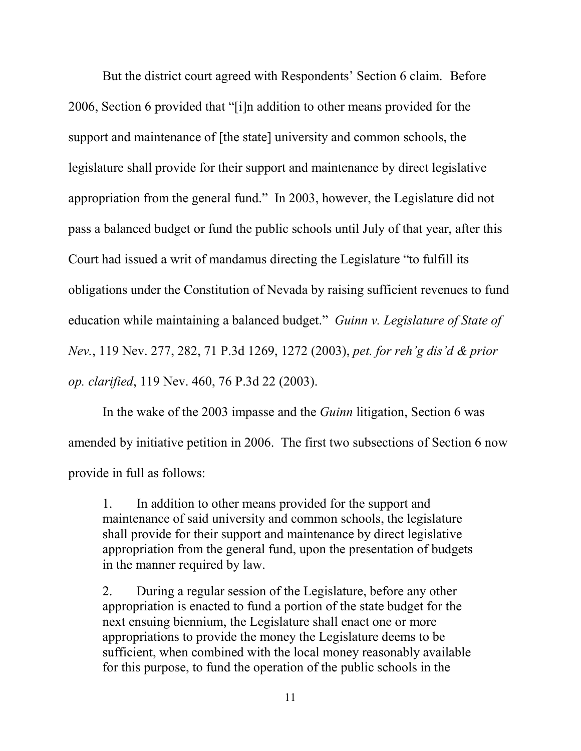But the district court agreed with Respondents' Section 6 claim. Before 2006, Section 6 provided that "[i]n addition to other means provided for the support and maintenance of [the state] university and common schools, the legislature shall provide for their support and maintenance by direct legislative appropriation from the general fund." In 2003, however, the Legislature did not pass a balanced budget or fund the public schools until July of that year, after this Court had issued a writ of mandamus directing the Legislature "to fulfill its obligations under the Constitution of Nevada by raising sufficient revenues to fund education while maintaining a balanced budget." *Guinn v. Legislature of State of Nev.*, 119 Nev. 277, 282, 71 P.3d 1269, 1272 (2003), *pet. for reh'g dis'd & prior op. clarified*, 119 Nev. 460, 76 P.3d 22 (2003).

In the wake of the 2003 impasse and the *Guinn* litigation, Section 6 was amended by initiative petition in 2006. The first two subsections of Section 6 now provide in full as follows:

1. In addition to other means provided for the support and maintenance of said university and common schools, the legislature shall provide for their support and maintenance by direct legislative appropriation from the general fund, upon the presentation of budgets in the manner required by law.

2. During a regular session of the Legislature, before any other appropriation is enacted to fund a portion of the state budget for the next ensuing biennium, the Legislature shall enact one or more appropriations to provide the money the Legislature deems to be sufficient, when combined with the local money reasonably available for this purpose, to fund the operation of the public schools in the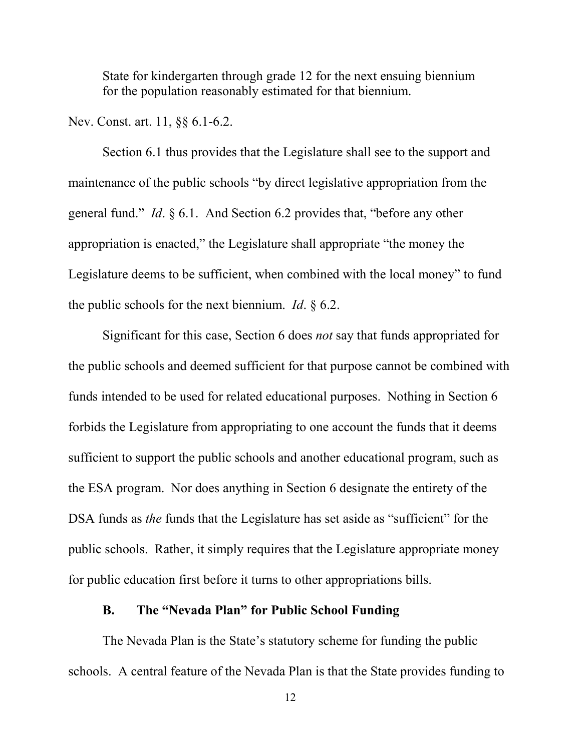State for kindergarten through grade 12 for the next ensuing biennium for the population reasonably estimated for that biennium.

Nev. Const. art. 11, §§ 6.1-6.2.

Section 6.1 thus provides that the Legislature shall see to the support and maintenance of the public schools "by direct legislative appropriation from the general fund." *Id*. § 6.1. And Section 6.2 provides that, "before any other appropriation is enacted," the Legislature shall appropriate "the money the Legislature deems to be sufficient, when combined with the local money" to fund the public schools for the next biennium. *Id*. § 6.2.

Significant for this case, Section 6 does *not* say that funds appropriated for the public schools and deemed sufficient for that purpose cannot be combined with funds intended to be used for related educational purposes. Nothing in Section 6 forbids the Legislature from appropriating to one account the funds that it deems sufficient to support the public schools and another educational program, such as the ESA program. Nor does anything in Section 6 designate the entirety of the DSA funds as *the* funds that the Legislature has set aside as "sufficient" for the public schools. Rather, it simply requires that the Legislature appropriate money for public education first before it turns to other appropriations bills.

#### **B. The "Nevada Plan" for Public School Funding**

The Nevada Plan is the State's statutory scheme for funding the public schools. A central feature of the Nevada Plan is that the State provides funding to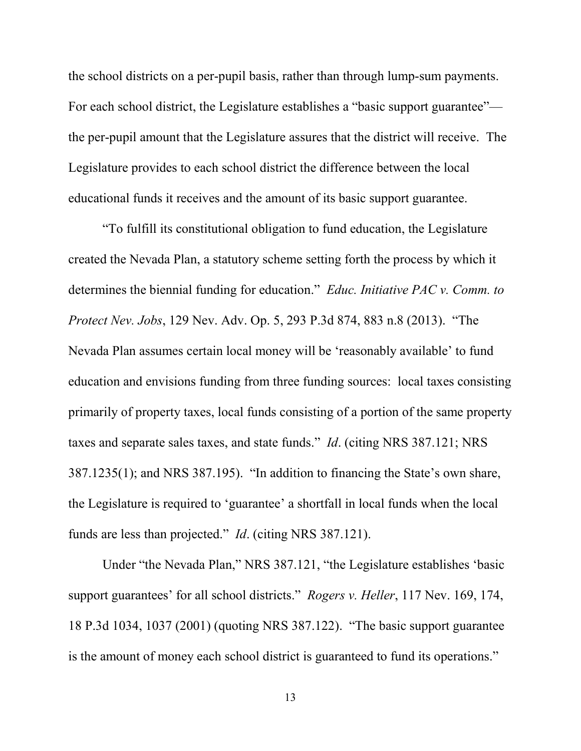the school districts on a per-pupil basis, rather than through lump-sum payments. For each school district, the Legislature establishes a "basic support guarantee" the per-pupil amount that the Legislature assures that the district will receive. The Legislature provides to each school district the difference between the local educational funds it receives and the amount of its basic support guarantee.

"To fulfill its constitutional obligation to fund education, the Legislature created the Nevada Plan, a statutory scheme setting forth the process by which it determines the biennial funding for education." *Educ. Initiative PAC v. Comm. to Protect Nev. Jobs*, 129 Nev. Adv. Op. 5, 293 P.3d 874, 883 n.8 (2013). "The Nevada Plan assumes certain local money will be 'reasonably available' to fund education and envisions funding from three funding sources: local taxes consisting primarily of property taxes, local funds consisting of a portion of the same property taxes and separate sales taxes, and state funds." *Id*. (citing NRS 387.121; NRS 387.1235(1); and NRS 387.195). "In addition to financing the State's own share, the Legislature is required to 'guarantee' a shortfall in local funds when the local funds are less than projected." *Id*. (citing NRS 387.121).

Under "the Nevada Plan," NRS 387.121, "the Legislature establishes 'basic support guarantees' for all school districts." *Rogers v. Heller*, 117 Nev. 169, 174, 18 P.3d 1034, 1037 (2001) (quoting NRS 387.122). "The basic support guarantee is the amount of money each school district is guaranteed to fund its operations."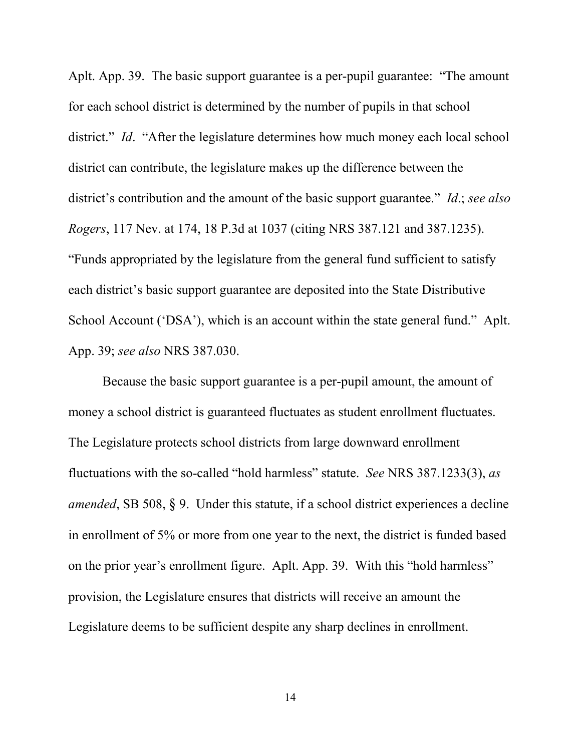Aplt. App. 39. The basic support guarantee is a per-pupil guarantee: "The amount for each school district is determined by the number of pupils in that school district." *Id.* "After the legislature determines how much money each local school district can contribute, the legislature makes up the difference between the district's contribution and the amount of the basic support guarantee." *Id*.; *see also Rogers*, 117 Nev. at 174, 18 P.3d at 1037 (citing NRS 387.121 and 387.1235). "Funds appropriated by the legislature from the general fund sufficient to satisfy each district's basic support guarantee are deposited into the State Distributive School Account ('DSA'), which is an account within the state general fund." Aplt. App. 39; *see also* NRS 387.030.

Because the basic support guarantee is a per-pupil amount, the amount of money a school district is guaranteed fluctuates as student enrollment fluctuates. The Legislature protects school districts from large downward enrollment fluctuations with the so-called "hold harmless" statute. *See* NRS 387.1233(3), *as amended*, SB 508, § 9. Under this statute, if a school district experiences a decline in enrollment of 5% or more from one year to the next, the district is funded based on the prior year's enrollment figure. Aplt. App. 39. With this "hold harmless" provision, the Legislature ensures that districts will receive an amount the Legislature deems to be sufficient despite any sharp declines in enrollment.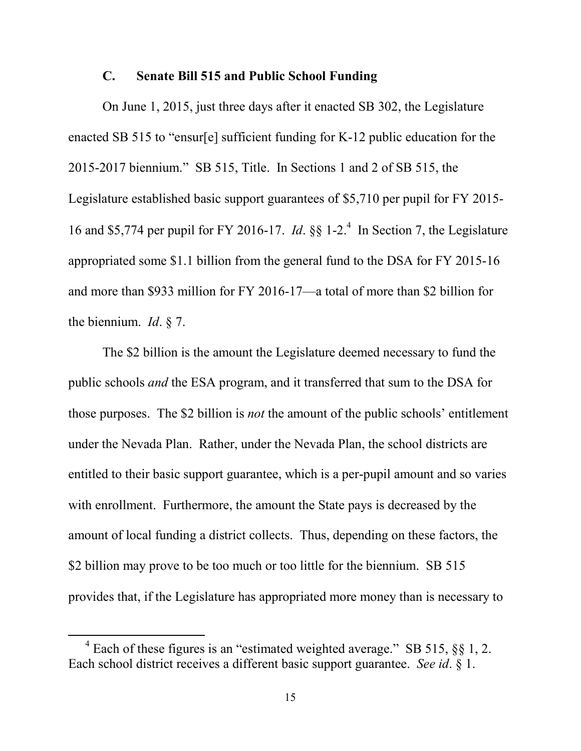#### **C. Senate Bill 515 and Public School Funding**

On June 1, 2015, just three days after it enacted SB 302, the Legislature enacted SB 515 to "ensur[e] sufficient funding for K-12 public education for the 2015-2017 biennium." SB 515, Title. In Sections 1 and 2 of SB 515, the Legislature established basic support guarantees of \$5,710 per pupil for FY 2015- 16 and \$5,774 per pupil for FY 2016-17. *Id*. §§ 1-2.<sup>4</sup> In Section 7, the Legislature appropriated some \$1.1 billion from the general fund to the DSA for FY 2015-16 and more than \$933 million for FY 2016-17—a total of more than \$2 billion for the biennium. *Id*. § 7.

The \$2 billion is the amount the Legislature deemed necessary to fund the public schools *and* the ESA program, and it transferred that sum to the DSA for those purposes. The \$2 billion is *not* the amount of the public schools' entitlement under the Nevada Plan. Rather, under the Nevada Plan, the school districts are entitled to their basic support guarantee, which is a per-pupil amount and so varies with enrollment. Furthermore, the amount the State pays is decreased by the amount of local funding a district collects. Thus, depending on these factors, the \$2 billion may prove to be too much or too little for the biennium. SB 515 provides that, if the Legislature has appropriated more money than is necessary to

 $4$  Each of these figures is an "estimated weighted average." SB 515,  $\S$ § 1, 2. Each school district receives a different basic support guarantee. *See id*. § 1.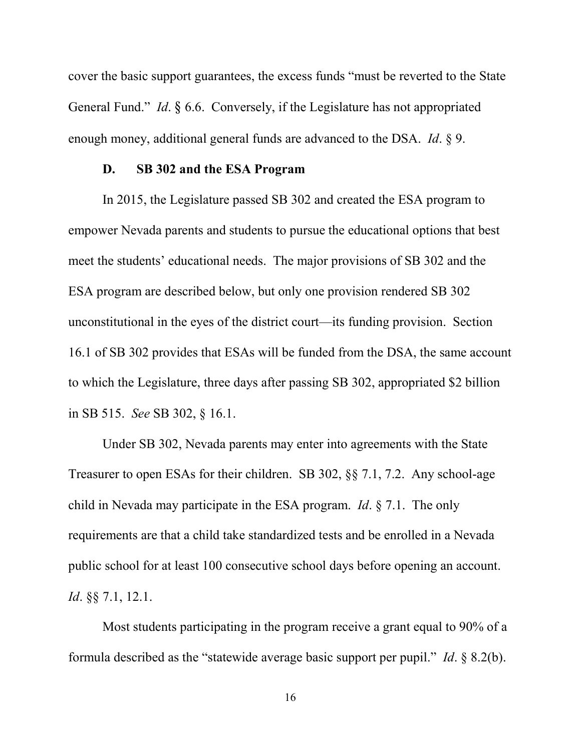cover the basic support guarantees, the excess funds "must be reverted to the State General Fund." *Id*. § 6.6. Conversely, if the Legislature has not appropriated enough money, additional general funds are advanced to the DSA. *Id*. § 9.

### **D. SB 302 and the ESA Program**

In 2015, the Legislature passed SB 302 and created the ESA program to empower Nevada parents and students to pursue the educational options that best meet the students' educational needs. The major provisions of SB 302 and the ESA program are described below, but only one provision rendered SB 302 unconstitutional in the eyes of the district court—its funding provision. Section 16.1 of SB 302 provides that ESAs will be funded from the DSA, the same account to which the Legislature, three days after passing SB 302, appropriated \$2 billion in SB 515. *See* SB 302, § 16.1.

Under SB 302, Nevada parents may enter into agreements with the State Treasurer to open ESAs for their children. SB 302, §§ 7.1, 7.2. Any school-age child in Nevada may participate in the ESA program. *Id*. § 7.1. The only requirements are that a child take standardized tests and be enrolled in a Nevada public school for at least 100 consecutive school days before opening an account. *Id*. §§ 7.1, 12.1.

Most students participating in the program receive a grant equal to 90% of a formula described as the "statewide average basic support per pupil." *Id*. § 8.2(b).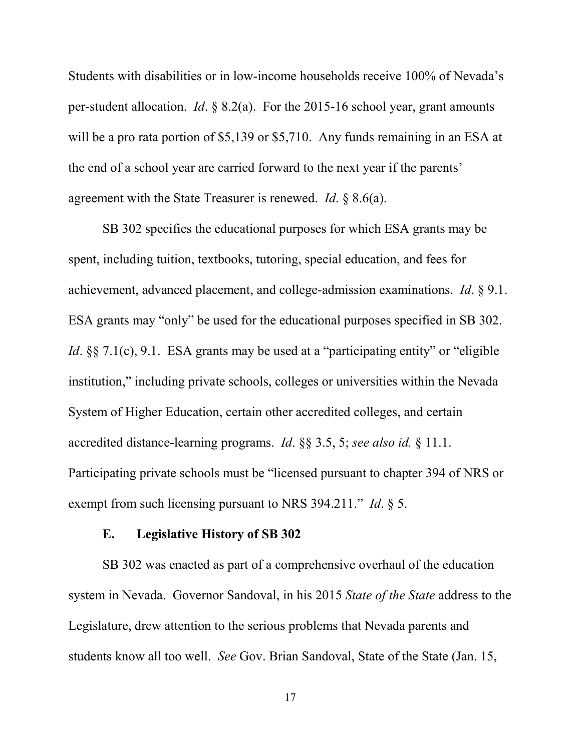Students with disabilities or in low-income households receive 100% of Nevada's per-student allocation. *Id*. § 8.2(a). For the 2015-16 school year, grant amounts will be a pro rata portion of \$5,139 or \$5,710. Any funds remaining in an ESA at the end of a school year are carried forward to the next year if the parents' agreement with the State Treasurer is renewed. *Id*. § 8.6(a).

SB 302 specifies the educational purposes for which ESA grants may be spent, including tuition, textbooks, tutoring, special education, and fees for achievement, advanced placement, and college-admission examinations. *Id*. § 9.1. ESA grants may "only" be used for the educational purposes specified in SB 302. *Id.* §§ 7.1(c), 9.1. ESA grants may be used at a "participating entity" or "eligible" institution," including private schools, colleges or universities within the Nevada System of Higher Education, certain other accredited colleges, and certain accredited distance-learning programs. *Id*. §§ 3.5, 5; *see also id.* § 11.1. Participating private schools must be "licensed pursuant to chapter 394 of NRS or exempt from such licensing pursuant to NRS 394.211." *Id*. § 5.

### **E. Legislative History of SB 302**

SB 302 was enacted as part of a comprehensive overhaul of the education system in Nevada. Governor Sandoval, in his 2015 *State of the State* address to the Legislature, drew attention to the serious problems that Nevada parents and students know all too well. *See* Gov. Brian Sandoval, State of the State (Jan. 15,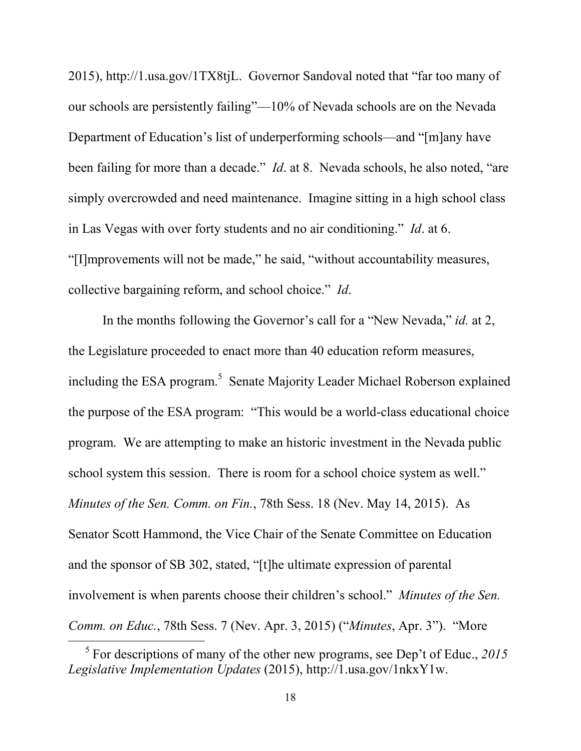2015), http://1.usa.gov/1TX8tjL. Governor Sandoval noted that "far too many of our schools are persistently failing"—10% of Nevada schools are on the Nevada Department of Education's list of underperforming schools—and "[m]any have been failing for more than a decade." *Id*. at 8. Nevada schools, he also noted, "are simply overcrowded and need maintenance. Imagine sitting in a high school class in Las Vegas with over forty students and no air conditioning." *Id*. at 6. "[I]mprovements will not be made," he said, "without accountability measures, collective bargaining reform, and school choice." *Id*.

In the months following the Governor's call for a "New Nevada," *id.* at 2, the Legislature proceeded to enact more than 40 education reform measures, including the ESA program.<sup>5</sup> Senate Majority Leader Michael Roberson explained the purpose of the ESA program: "This would be a world-class educational choice program. We are attempting to make an historic investment in the Nevada public school system this session. There is room for a school choice system as well." *Minutes of the Sen. Comm. on Fin.*, 78th Sess. 18 (Nev. May 14, 2015). As Senator Scott Hammond, the Vice Chair of the Senate Committee on Education and the sponsor of SB 302, stated, "[t]he ultimate expression of parental involvement is when parents choose their children's school." *Minutes of the Sen. Comm. on Educ.*, 78th Sess. 7 (Nev. Apr. 3, 2015) ("*Minutes*, Apr. 3"). "More

<sup>5</sup> For descriptions of many of the other new programs, see Dep't of Educ., *2015 Legislative Implementation Updates* (2015), http://1.usa.gov/1nkxY1w.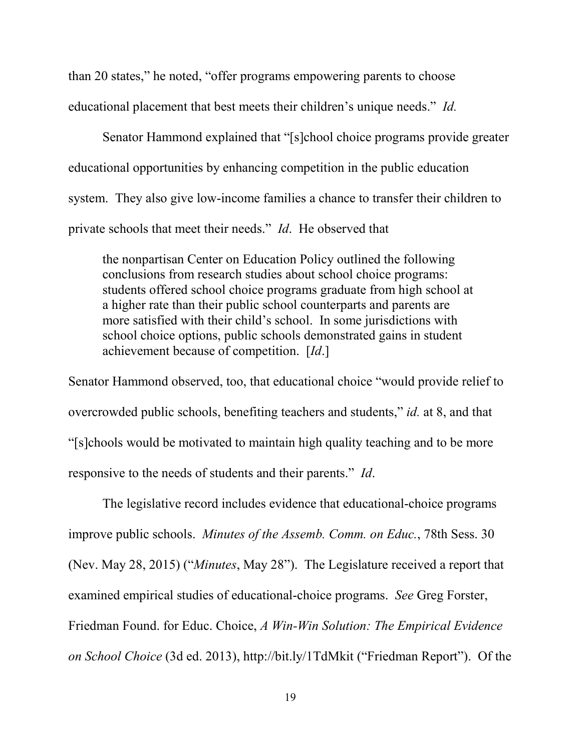than 20 states," he noted, "offer programs empowering parents to choose educational placement that best meets their children's unique needs." *Id.* 

Senator Hammond explained that "[s]chool choice programs provide greater educational opportunities by enhancing competition in the public education system. They also give low-income families a chance to transfer their children to private schools that meet their needs." *Id*. He observed that

the nonpartisan Center on Education Policy outlined the following conclusions from research studies about school choice programs: students offered school choice programs graduate from high school at a higher rate than their public school counterparts and parents are more satisfied with their child's school. In some jurisdictions with school choice options, public schools demonstrated gains in student achievement because of competition. [*Id*.]

Senator Hammond observed, too, that educational choice "would provide relief to overcrowded public schools, benefiting teachers and students," *id.* at 8, and that "[s]chools would be motivated to maintain high quality teaching and to be more responsive to the needs of students and their parents." *Id*.

The legislative record includes evidence that educational-choice programs improve public schools. *Minutes of the Assemb. Comm. on Educ.*, 78th Sess. 30 (Nev. May 28, 2015) ("*Minutes*, May 28"). The Legislature received a report that examined empirical studies of educational-choice programs. *See* Greg Forster, Friedman Found. for Educ. Choice, *A Win-Win Solution: The Empirical Evidence on School Choice* (3d ed. 2013), http://bit.ly/1TdMkit ("Friedman Report"). Of the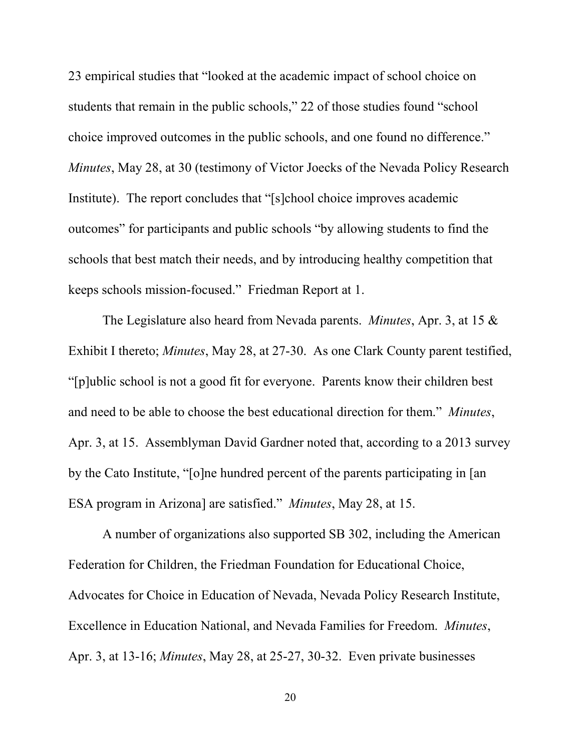23 empirical studies that "looked at the academic impact of school choice on students that remain in the public schools," 22 of those studies found "school choice improved outcomes in the public schools, and one found no difference." *Minutes*, May 28, at 30 (testimony of Victor Joecks of the Nevada Policy Research Institute). The report concludes that "[s]chool choice improves academic outcomes" for participants and public schools "by allowing students to find the schools that best match their needs, and by introducing healthy competition that keeps schools mission-focused." Friedman Report at 1.

The Legislature also heard from Nevada parents. *Minutes*, Apr. 3, at 15 & Exhibit I thereto; *Minutes*, May 28, at 27-30. As one Clark County parent testified, "[p]ublic school is not a good fit for everyone. Parents know their children best and need to be able to choose the best educational direction for them." *Minutes*, Apr. 3, at 15. Assemblyman David Gardner noted that, according to a 2013 survey by the Cato Institute, "[o]ne hundred percent of the parents participating in [an ESA program in Arizona] are satisfied." *Minutes*, May 28, at 15.

A number of organizations also supported SB 302, including the American Federation for Children, the Friedman Foundation for Educational Choice, Advocates for Choice in Education of Nevada, Nevada Policy Research Institute, Excellence in Education National, and Nevada Families for Freedom. *Minutes*, Apr. 3, at 13-16; *Minutes*, May 28, at 25-27, 30-32. Even private businesses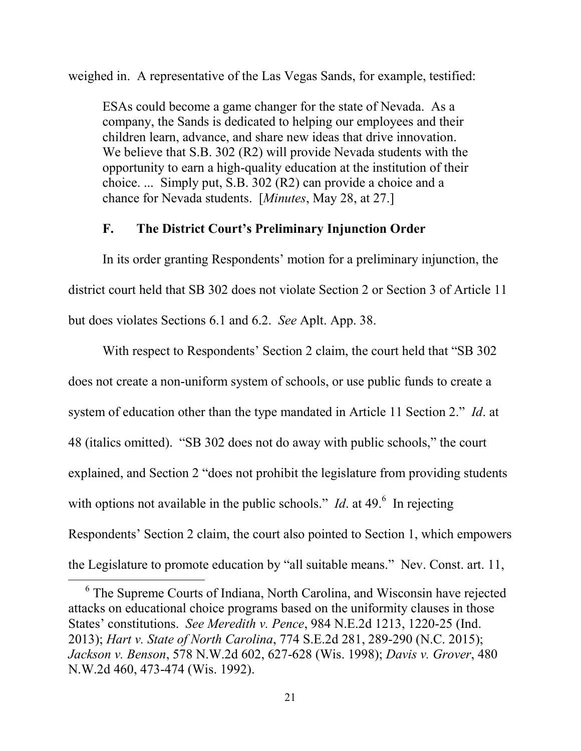weighed in. A representative of the Las Vegas Sands, for example, testified:

ESAs could become a game changer for the state of Nevada. As a company, the Sands is dedicated to helping our employees and their children learn, advance, and share new ideas that drive innovation. We believe that S.B. 302 (R2) will provide Nevada students with the opportunity to earn a high-quality education at the institution of their choice. ... Simply put, S.B. 302 (R2) can provide a choice and a chance for Nevada students. [*Minutes*, May 28, at 27.]

### **F. The District Court's Preliminary Injunction Order**

In its order granting Respondents' motion for a preliminary injunction, the district court held that SB 302 does not violate Section 2 or Section 3 of Article 11 but does violates Sections 6.1 and 6.2. *See* Aplt. App. 38.

With respect to Respondents' Section 2 claim, the court held that "SB 302 does not create a non-uniform system of schools, or use public funds to create a system of education other than the type mandated in Article 11 Section 2." *Id*. at 48 (italics omitted). "SB 302 does not do away with public schools," the court explained, and Section 2 "does not prohibit the legislature from providing students with options not available in the public schools." *Id*. at 49.<sup>6</sup> In rejecting Respondents' Section 2 claim, the court also pointed to Section 1, which empowers the Legislature to promote education by "all suitable means." Nev. Const. art. 11,

<sup>&</sup>lt;sup>6</sup> The Supreme Courts of Indiana, North Carolina, and Wisconsin have rejected attacks on educational choice programs based on the uniformity clauses in those States' constitutions. *See Meredith v. Pence*, 984 N.E.2d 1213, 1220-25 (Ind. 2013); *Hart v. State of North Carolina*, 774 S.E.2d 281, 289-290 (N.C. 2015); *Jackson v. Benson*, 578 N.W.2d 602, 627-628 (Wis. 1998); *Davis v. Grover*, 480 N.W.2d 460, 473-474 (Wis. 1992).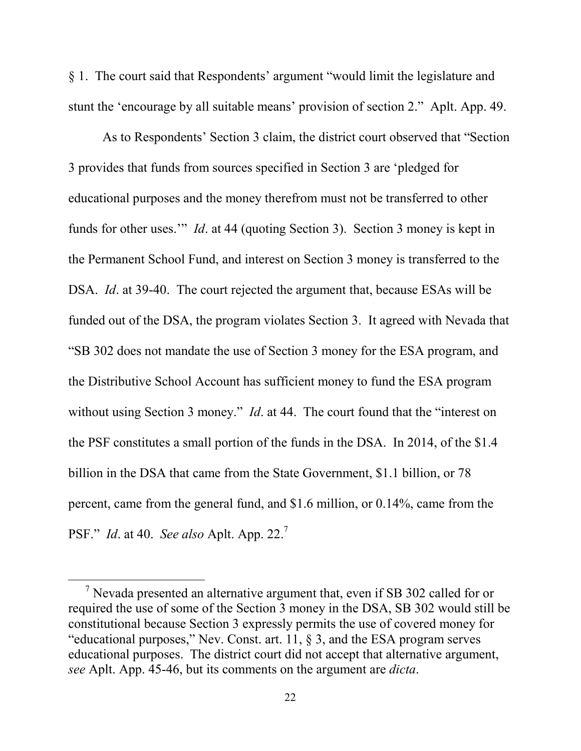§ 1. The court said that Respondents' argument "would limit the legislature and stunt the 'encourage by all suitable means' provision of section 2." Aplt. App. 49.

As to Respondents' Section 3 claim, the district court observed that "Section 3 provides that funds from sources specified in Section 3 are 'pledged for educational purposes and the money therefrom must not be transferred to other funds for other uses.'" *Id*. at 44 (quoting Section 3). Section 3 money is kept in the Permanent School Fund, and interest on Section 3 money is transferred to the DSA. *Id.* at 39-40. The court rejected the argument that, because ESAs will be funded out of the DSA, the program violates Section 3. It agreed with Nevada that "SB 302 does not mandate the use of Section 3 money for the ESA program, and the Distributive School Account has sufficient money to fund the ESA program without using Section 3 money." *Id.* at 44. The court found that the "interest on the PSF constitutes a small portion of the funds in the DSA. In 2014, of the \$1.4 billion in the DSA that came from the State Government, \$1.1 billion, or 78 percent, came from the general fund, and \$1.6 million, or 0.14%, came from the PSF." *Id*. at 40. *See also* Aplt. App. 22.<sup>7</sup>

<sup>&</sup>lt;sup>7</sup> Nevada presented an alternative argument that, even if SB 302 called for or required the use of some of the Section 3 money in the DSA, SB 302 would still be constitutional because Section 3 expressly permits the use of covered money for "educational purposes," Nev. Const. art. 11, § 3, and the ESA program serves educational purposes. The district court did not accept that alternative argument, *see* Aplt. App. 45-46, but its comments on the argument are *dicta*.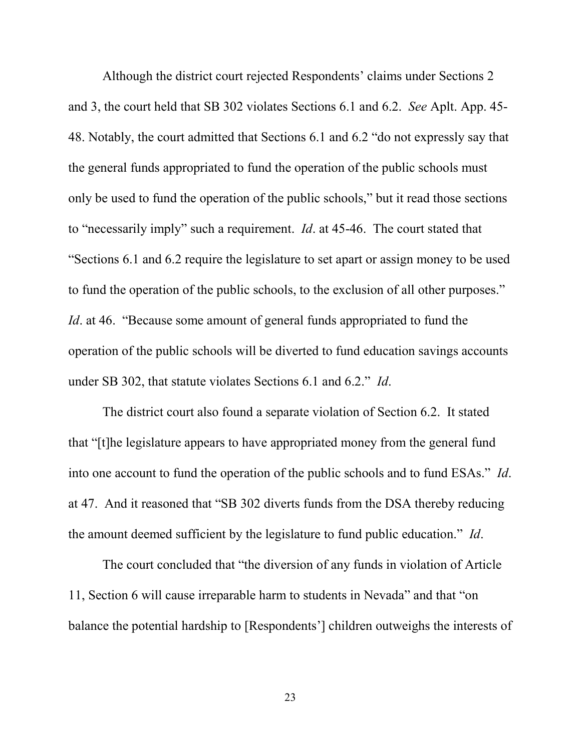Although the district court rejected Respondents' claims under Sections 2 and 3, the court held that SB 302 violates Sections 6.1 and 6.2. *See* Aplt. App. 45- 48. Notably, the court admitted that Sections 6.1 and 6.2 "do not expressly say that the general funds appropriated to fund the operation of the public schools must only be used to fund the operation of the public schools," but it read those sections to "necessarily imply" such a requirement. *Id*. at 45-46. The court stated that "Sections 6.1 and 6.2 require the legislature to set apart or assign money to be used to fund the operation of the public schools, to the exclusion of all other purposes." *Id.* at 46. "Because some amount of general funds appropriated to fund the operation of the public schools will be diverted to fund education savings accounts under SB 302, that statute violates Sections 6.1 and 6.2." *Id*.

The district court also found a separate violation of Section 6.2. It stated that "[t]he legislature appears to have appropriated money from the general fund into one account to fund the operation of the public schools and to fund ESAs." *Id*. at 47. And it reasoned that "SB 302 diverts funds from the DSA thereby reducing the amount deemed sufficient by the legislature to fund public education." *Id*.

The court concluded that "the diversion of any funds in violation of Article 11, Section 6 will cause irreparable harm to students in Nevada" and that "on balance the potential hardship to [Respondents'] children outweighs the interests of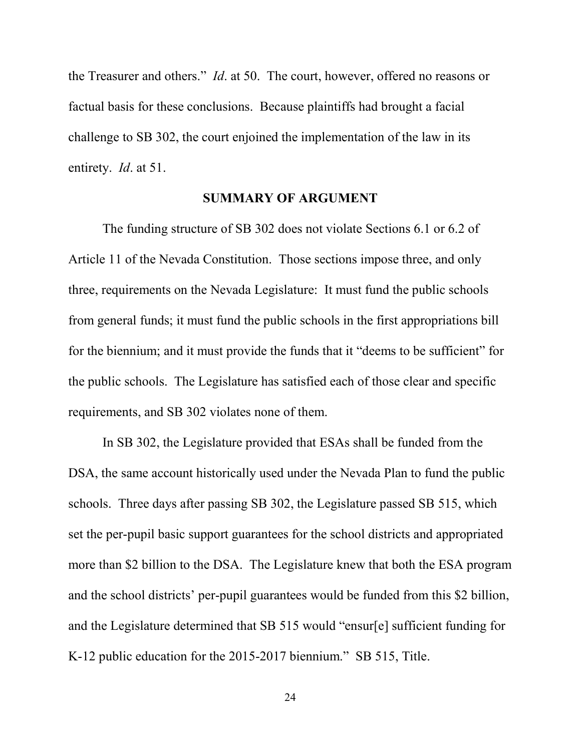the Treasurer and others." *Id*. at 50. The court, however, offered no reasons or factual basis for these conclusions. Because plaintiffs had brought a facial challenge to SB 302, the court enjoined the implementation of the law in its entirety. *Id*. at 51.

#### **SUMMARY OF ARGUMENT**

The funding structure of SB 302 does not violate Sections 6.1 or 6.2 of Article 11 of the Nevada Constitution. Those sections impose three, and only three, requirements on the Nevada Legislature: It must fund the public schools from general funds; it must fund the public schools in the first appropriations bill for the biennium; and it must provide the funds that it "deems to be sufficient" for the public schools. The Legislature has satisfied each of those clear and specific requirements, and SB 302 violates none of them.

In SB 302, the Legislature provided that ESAs shall be funded from the DSA, the same account historically used under the Nevada Plan to fund the public schools. Three days after passing SB 302, the Legislature passed SB 515, which set the per-pupil basic support guarantees for the school districts and appropriated more than \$2 billion to the DSA. The Legislature knew that both the ESA program and the school districts' per-pupil guarantees would be funded from this \$2 billion, and the Legislature determined that SB 515 would "ensur[e] sufficient funding for K-12 public education for the 2015-2017 biennium." SB 515, Title.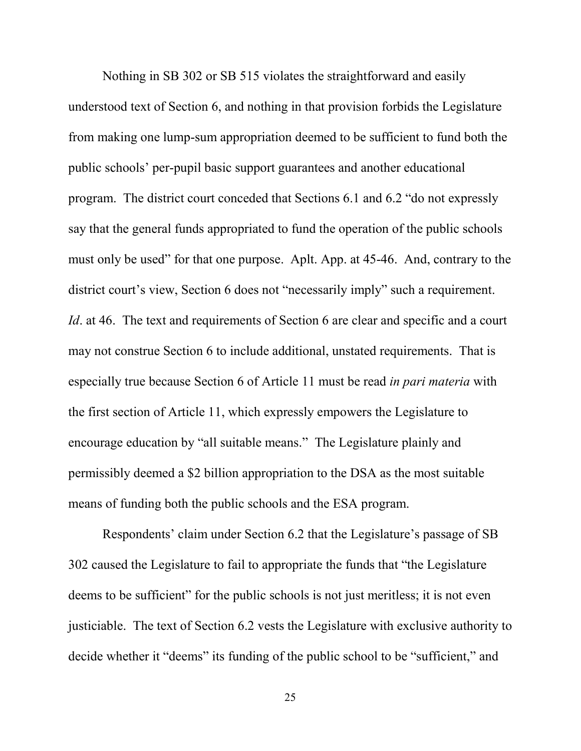Nothing in SB 302 or SB 515 violates the straightforward and easily understood text of Section 6, and nothing in that provision forbids the Legislature from making one lump-sum appropriation deemed to be sufficient to fund both the public schools' per-pupil basic support guarantees and another educational program. The district court conceded that Sections 6.1 and 6.2 "do not expressly say that the general funds appropriated to fund the operation of the public schools must only be used" for that one purpose. Aplt. App. at 45-46. And, contrary to the district court's view, Section 6 does not "necessarily imply" such a requirement. *Id.* at 46. The text and requirements of Section 6 are clear and specific and a court may not construe Section 6 to include additional, unstated requirements. That is especially true because Section 6 of Article 11 must be read *in pari materia* with the first section of Article 11, which expressly empowers the Legislature to encourage education by "all suitable means." The Legislature plainly and permissibly deemed a \$2 billion appropriation to the DSA as the most suitable means of funding both the public schools and the ESA program.

Respondents' claim under Section 6.2 that the Legislature's passage of SB 302 caused the Legislature to fail to appropriate the funds that "the Legislature deems to be sufficient" for the public schools is not just meritless; it is not even justiciable. The text of Section 6.2 vests the Legislature with exclusive authority to decide whether it "deems" its funding of the public school to be "sufficient," and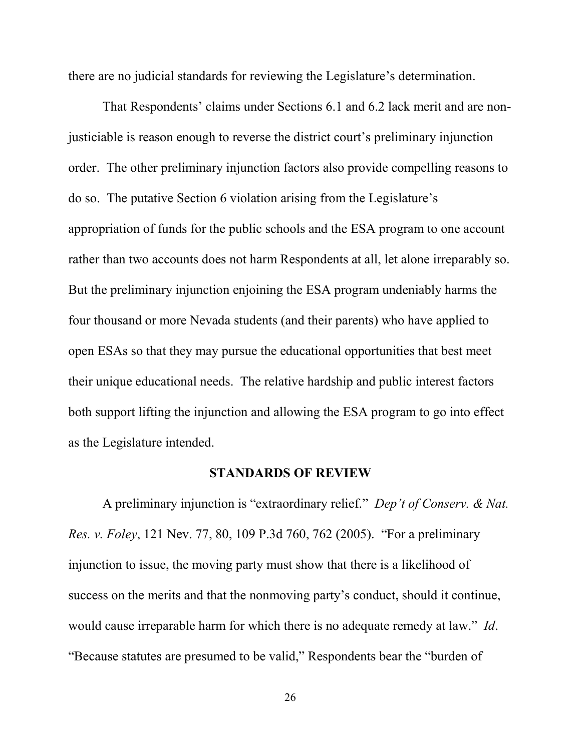there are no judicial standards for reviewing the Legislature's determination.

That Respondents' claims under Sections 6.1 and 6.2 lack merit and are nonjusticiable is reason enough to reverse the district court's preliminary injunction order. The other preliminary injunction factors also provide compelling reasons to do so. The putative Section 6 violation arising from the Legislature's appropriation of funds for the public schools and the ESA program to one account rather than two accounts does not harm Respondents at all, let alone irreparably so. But the preliminary injunction enjoining the ESA program undeniably harms the four thousand or more Nevada students (and their parents) who have applied to open ESAs so that they may pursue the educational opportunities that best meet their unique educational needs. The relative hardship and public interest factors both support lifting the injunction and allowing the ESA program to go into effect as the Legislature intended.

#### **STANDARDS OF REVIEW**

A preliminary injunction is "extraordinary relief." *Dep't of Conserv. & Nat. Res. v. Foley*, 121 Nev. 77, 80, 109 P.3d 760, 762 (2005). "For a preliminary injunction to issue, the moving party must show that there is a likelihood of success on the merits and that the nonmoving party's conduct, should it continue, would cause irreparable harm for which there is no adequate remedy at law." *Id*. "Because statutes are presumed to be valid," Respondents bear the "burden of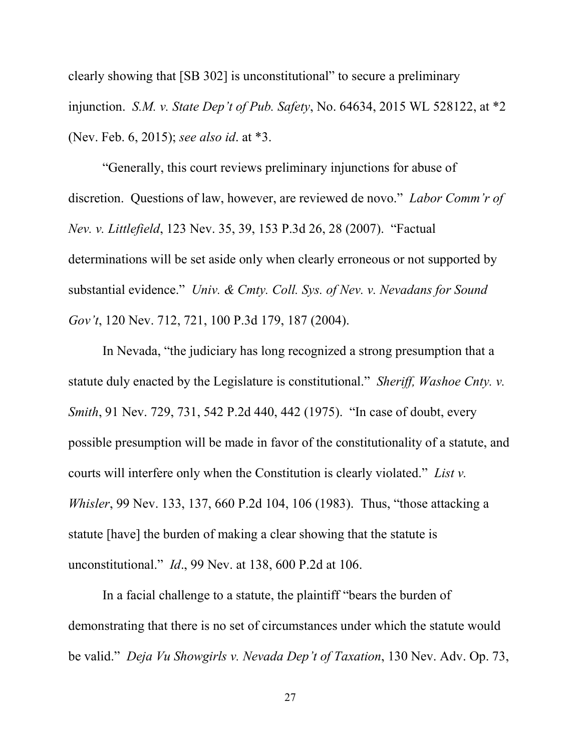clearly showing that [SB 302] is unconstitutional" to secure a preliminary injunction. *S.M. v. State Dep't of Pub. Safety*, No. 64634, 2015 WL 528122, at \*2 (Nev. Feb. 6, 2015); *see also id*. at \*3.

"Generally, this court reviews preliminary injunctions for abuse of discretion. Questions of law, however, are reviewed de novo." *Labor Comm'r of Nev. v. Littlefield*, 123 Nev. 35, 39, 153 P.3d 26, 28 (2007). "Factual determinations will be set aside only when clearly erroneous or not supported by substantial evidence." *Univ. & Cmty. Coll. Sys. of Nev. v. Nevadans for Sound Gov't*, 120 Nev. 712, 721, 100 P.3d 179, 187 (2004).

In Nevada, "the judiciary has long recognized a strong presumption that a statute duly enacted by the Legislature is constitutional." *Sheriff, Washoe Cnty. v. Smith*, 91 Nev. 729, 731, 542 P.2d 440, 442 (1975). "In case of doubt, every possible presumption will be made in favor of the constitutionality of a statute, and courts will interfere only when the Constitution is clearly violated." *List v. Whisler*, 99 Nev. 133, 137, 660 P.2d 104, 106 (1983). Thus, "those attacking a statute [have] the burden of making a clear showing that the statute is unconstitutional." *Id*., 99 Nev. at 138, 600 P.2d at 106.

In a facial challenge to a statute, the plaintiff "bears the burden of demonstrating that there is no set of circumstances under which the statute would be valid." *Deja Vu Showgirls v. Nevada Dep't of Taxation*, 130 Nev. Adv. Op. 73,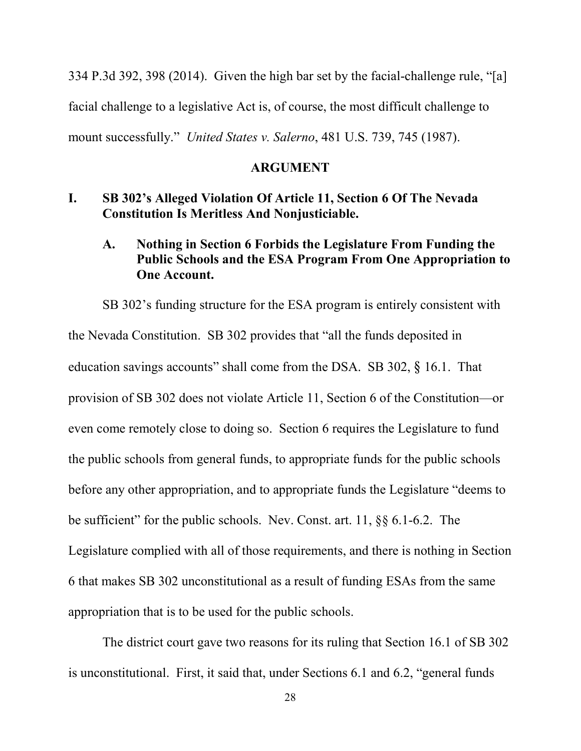334 P.3d 392, 398 (2014). Given the high bar set by the facial-challenge rule, "[a] facial challenge to a legislative Act is, of course, the most difficult challenge to mount successfully." *United States v. Salerno*, 481 U.S. 739, 745 (1987).

#### **ARGUMENT**

### **I. SB 302's Alleged Violation Of Article 11, Section 6 Of The Nevada Constitution Is Meritless And Nonjusticiable.**

# **A. Nothing in Section 6 Forbids the Legislature From Funding the Public Schools and the ESA Program From One Appropriation to One Account.**

SB 302's funding structure for the ESA program is entirely consistent with the Nevada Constitution. SB 302 provides that "all the funds deposited in education savings accounts" shall come from the DSA. SB 302, § 16.1. That provision of SB 302 does not violate Article 11, Section 6 of the Constitution—or even come remotely close to doing so. Section 6 requires the Legislature to fund the public schools from general funds, to appropriate funds for the public schools before any other appropriation, and to appropriate funds the Legislature "deems to be sufficient" for the public schools. Nev. Const. art. 11, §§ 6.1-6.2. The Legislature complied with all of those requirements, and there is nothing in Section 6 that makes SB 302 unconstitutional as a result of funding ESAs from the same appropriation that is to be used for the public schools.

The district court gave two reasons for its ruling that Section 16.1 of SB 302 is unconstitutional. First, it said that, under Sections 6.1 and 6.2, "general funds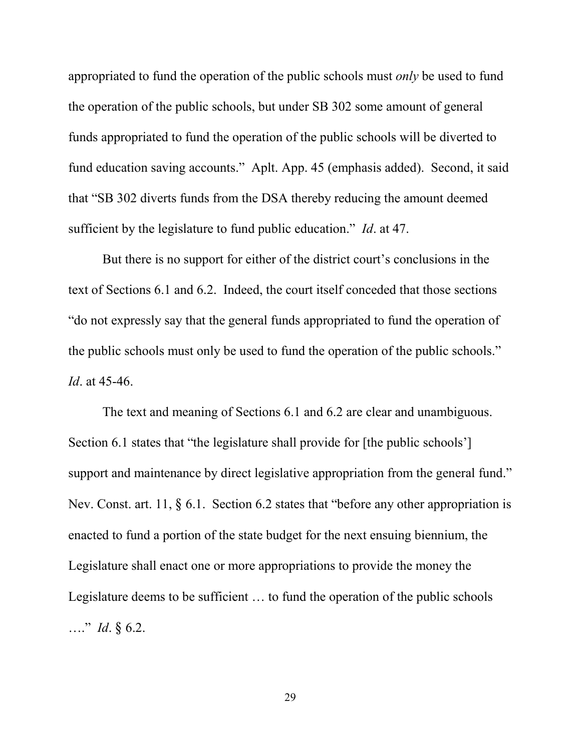appropriated to fund the operation of the public schools must *only* be used to fund the operation of the public schools, but under SB 302 some amount of general funds appropriated to fund the operation of the public schools will be diverted to fund education saving accounts." Aplt. App. 45 (emphasis added). Second, it said that "SB 302 diverts funds from the DSA thereby reducing the amount deemed sufficient by the legislature to fund public education." *Id*. at 47.

But there is no support for either of the district court's conclusions in the text of Sections 6.1 and 6.2. Indeed, the court itself conceded that those sections "do not expressly say that the general funds appropriated to fund the operation of the public schools must only be used to fund the operation of the public schools." *Id*. at 45-46.

The text and meaning of Sections 6.1 and 6.2 are clear and unambiguous. Section 6.1 states that "the legislature shall provide for [the public schools'] support and maintenance by direct legislative appropriation from the general fund." Nev. Const. art. 11, § 6.1. Section 6.2 states that "before any other appropriation is enacted to fund a portion of the state budget for the next ensuing biennium, the Legislature shall enact one or more appropriations to provide the money the Legislature deems to be sufficient … to fund the operation of the public schools …." *Id*. § 6.2.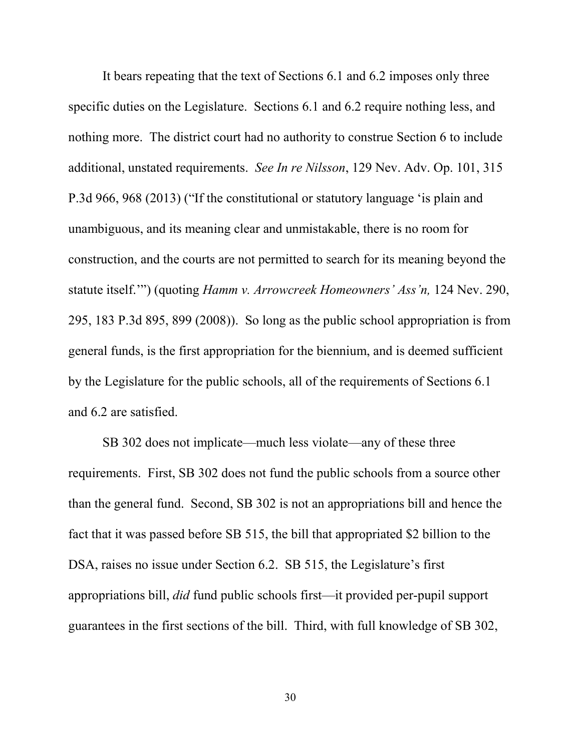It bears repeating that the text of Sections 6.1 and 6.2 imposes only three specific duties on the Legislature. Sections 6.1 and 6.2 require nothing less, and nothing more. The district court had no authority to construe Section 6 to include additional, unstated requirements. *See In re Nilsson*, 129 Nev. Adv. Op. 101, 315 P.3d 966, 968 (2013) ("If the constitutional or statutory language 'is plain and unambiguous, and its meaning clear and unmistakable, there is no room for construction, and the courts are not permitted to search for its meaning beyond the statute itself.'") (quoting *Hamm v. Arrowcreek Homeowners' Ass'n,* 124 Nev. 290, 295, 183 P.3d 895, 899 (2008)). So long as the public school appropriation is from general funds, is the first appropriation for the biennium, and is deemed sufficient by the Legislature for the public schools, all of the requirements of Sections 6.1 and 6.2 are satisfied.

SB 302 does not implicate—much less violate—any of these three requirements. First, SB 302 does not fund the public schools from a source other than the general fund. Second, SB 302 is not an appropriations bill and hence the fact that it was passed before SB 515, the bill that appropriated \$2 billion to the DSA, raises no issue under Section 6.2. SB 515, the Legislature's first appropriations bill, *did* fund public schools first—it provided per-pupil support guarantees in the first sections of the bill. Third, with full knowledge of SB 302,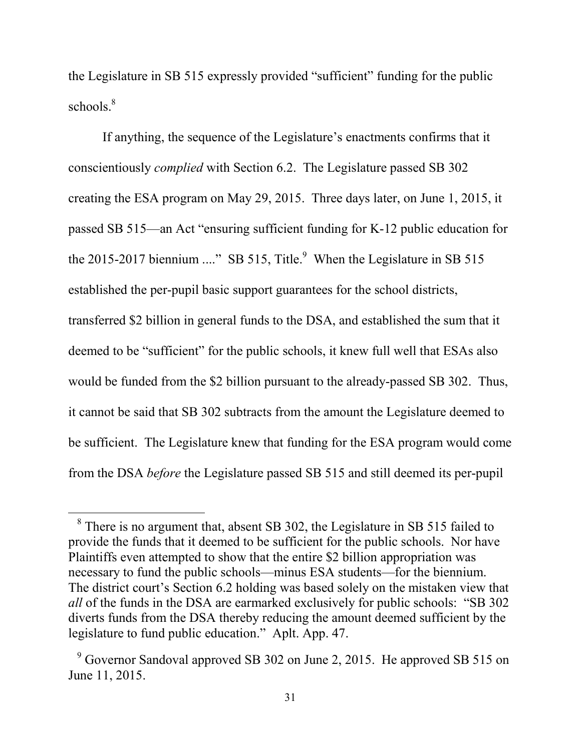the Legislature in SB 515 expressly provided "sufficient" funding for the public schools.<sup>8</sup>

If anything, the sequence of the Legislature's enactments confirms that it conscientiously *complied* with Section 6.2. The Legislature passed SB 302 creating the ESA program on May 29, 2015. Three days later, on June 1, 2015, it passed SB 515—an Act "ensuring sufficient funding for K-12 public education for the 2015-2017 biennium ...." SB 515, Title.<sup>9</sup> When the Legislature in SB 515 established the per-pupil basic support guarantees for the school districts, transferred \$2 billion in general funds to the DSA, and established the sum that it deemed to be "sufficient" for the public schools, it knew full well that ESAs also would be funded from the \$2 billion pursuant to the already-passed SB 302. Thus, it cannot be said that SB 302 subtracts from the amount the Legislature deemed to be sufficient. The Legislature knew that funding for the ESA program would come from the DSA *before* the Legislature passed SB 515 and still deemed its per-pupil

<sup>&</sup>lt;sup>8</sup> There is no argument that, absent SB 302, the Legislature in SB 515 failed to provide the funds that it deemed to be sufficient for the public schools. Nor have Plaintiffs even attempted to show that the entire \$2 billion appropriation was necessary to fund the public schools—minus ESA students—for the biennium. The district court's Section 6.2 holding was based solely on the mistaken view that *all* of the funds in the DSA are earmarked exclusively for public schools: "SB 302 diverts funds from the DSA thereby reducing the amount deemed sufficient by the legislature to fund public education." Aplt. App. 47.

<sup>&</sup>lt;sup>9</sup> Governor Sandoval approved SB 302 on June 2, 2015. He approved SB 515 on June 11, 2015.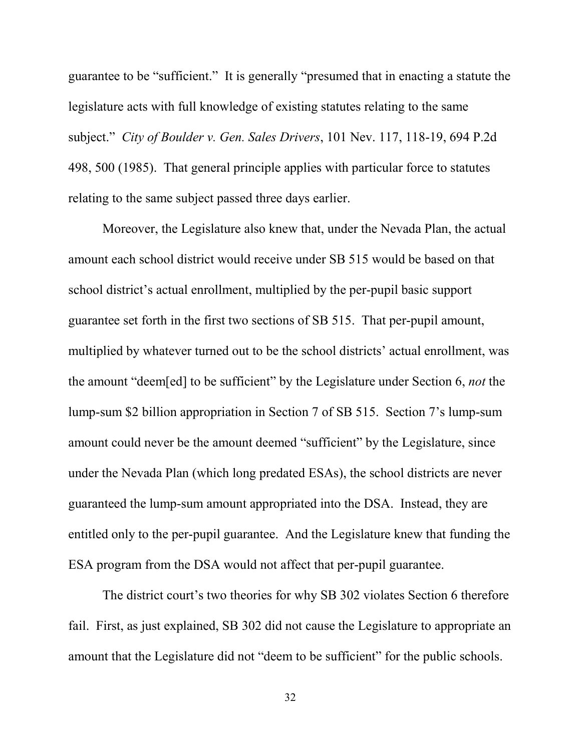guarantee to be "sufficient." It is generally "presumed that in enacting a statute the legislature acts with full knowledge of existing statutes relating to the same subject." *City of Boulder v. Gen. Sales Drivers*, 101 Nev. 117, 118-19, 694 P.2d 498, 500 (1985). That general principle applies with particular force to statutes relating to the same subject passed three days earlier.

Moreover, the Legislature also knew that, under the Nevada Plan, the actual amount each school district would receive under SB 515 would be based on that school district's actual enrollment, multiplied by the per-pupil basic support guarantee set forth in the first two sections of SB 515. That per-pupil amount, multiplied by whatever turned out to be the school districts' actual enrollment, was the amount "deem[ed] to be sufficient" by the Legislature under Section 6, *not* the lump-sum \$2 billion appropriation in Section 7 of SB 515. Section 7's lump-sum amount could never be the amount deemed "sufficient" by the Legislature, since under the Nevada Plan (which long predated ESAs), the school districts are never guaranteed the lump-sum amount appropriated into the DSA. Instead, they are entitled only to the per-pupil guarantee. And the Legislature knew that funding the ESA program from the DSA would not affect that per-pupil guarantee.

The district court's two theories for why SB 302 violates Section 6 therefore fail. First, as just explained, SB 302 did not cause the Legislature to appropriate an amount that the Legislature did not "deem to be sufficient" for the public schools.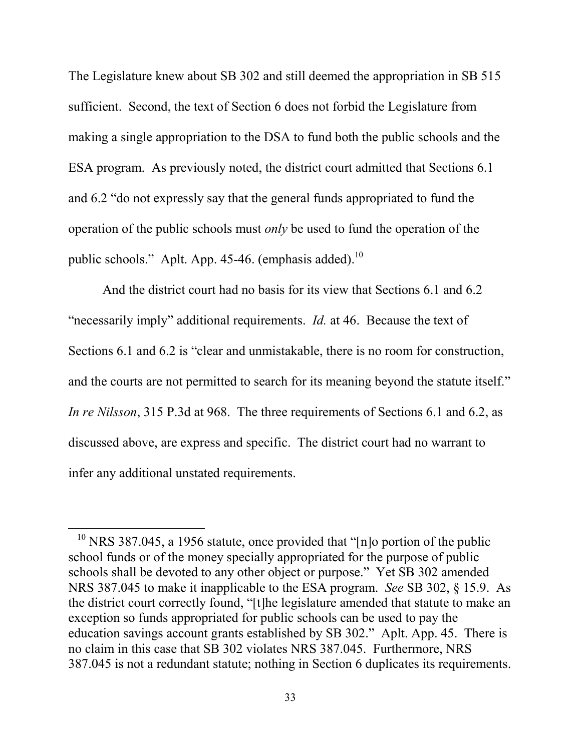The Legislature knew about SB 302 and still deemed the appropriation in SB 515 sufficient. Second, the text of Section 6 does not forbid the Legislature from making a single appropriation to the DSA to fund both the public schools and the ESA program. As previously noted, the district court admitted that Sections 6.1 and 6.2 "do not expressly say that the general funds appropriated to fund the operation of the public schools must *only* be used to fund the operation of the public schools." Aplt. App. 45-46. (emphasis added).<sup>10</sup>

And the district court had no basis for its view that Sections 6.1 and 6.2 "necessarily imply" additional requirements. *Id.* at 46. Because the text of Sections 6.1 and 6.2 is "clear and unmistakable, there is no room for construction, and the courts are not permitted to search for its meaning beyond the statute itself." *In re Nilsson*, 315 P.3d at 968. The three requirements of Sections 6.1 and 6.2, as discussed above, are express and specific. The district court had no warrant to infer any additional unstated requirements.

-

 $10$  NRS 387.045, a 1956 statute, once provided that "[n]o portion of the public school funds or of the money specially appropriated for the purpose of public schools shall be devoted to any other object or purpose." Yet SB 302 amended NRS 387.045 to make it inapplicable to the ESA program. *See* SB 302, § 15.9. As the district court correctly found, "[t]he legislature amended that statute to make an exception so funds appropriated for public schools can be used to pay the education savings account grants established by SB 302." Aplt. App. 45. There is no claim in this case that SB 302 violates NRS 387.045. Furthermore, NRS 387.045 is not a redundant statute; nothing in Section 6 duplicates its requirements.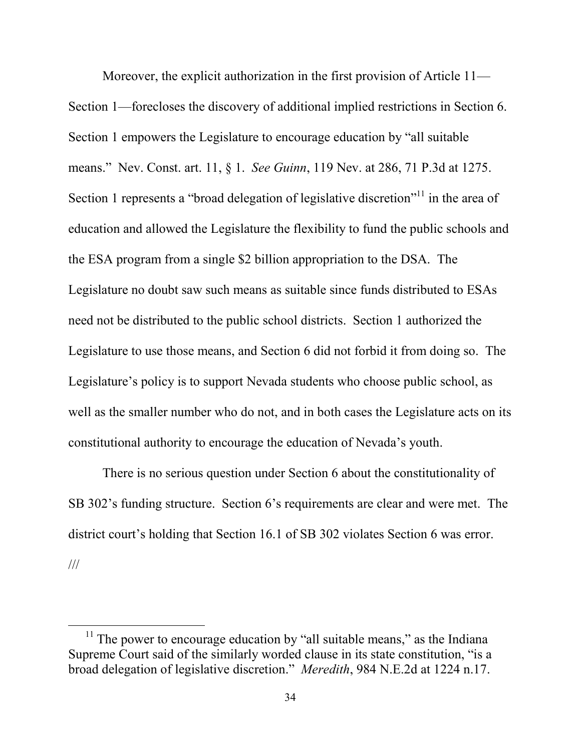Moreover, the explicit authorization in the first provision of Article 11— Section 1—forecloses the discovery of additional implied restrictions in Section 6. Section 1 empowers the Legislature to encourage education by "all suitable means." Nev. Const. art. 11, § 1. *See Guinn*, 119 Nev. at 286, 71 P.3d at 1275. Section 1 represents a "broad delegation of legislative discretion"<sup>11</sup> in the area of education and allowed the Legislature the flexibility to fund the public schools and the ESA program from a single \$2 billion appropriation to the DSA. The Legislature no doubt saw such means as suitable since funds distributed to ESAs need not be distributed to the public school districts. Section 1 authorized the Legislature to use those means, and Section 6 did not forbid it from doing so. The Legislature's policy is to support Nevada students who choose public school, as well as the smaller number who do not, and in both cases the Legislature acts on its constitutional authority to encourage the education of Nevada's youth.

There is no serious question under Section 6 about the constitutionality of SB 302's funding structure. Section 6's requirements are clear and were met. The district court's holding that Section 16.1 of SB 302 violates Section 6 was error. ///

 $11$  The power to encourage education by "all suitable means," as the Indiana Supreme Court said of the similarly worded clause in its state constitution, "is a broad delegation of legislative discretion." *Meredith*, 984 N.E.2d at 1224 n.17.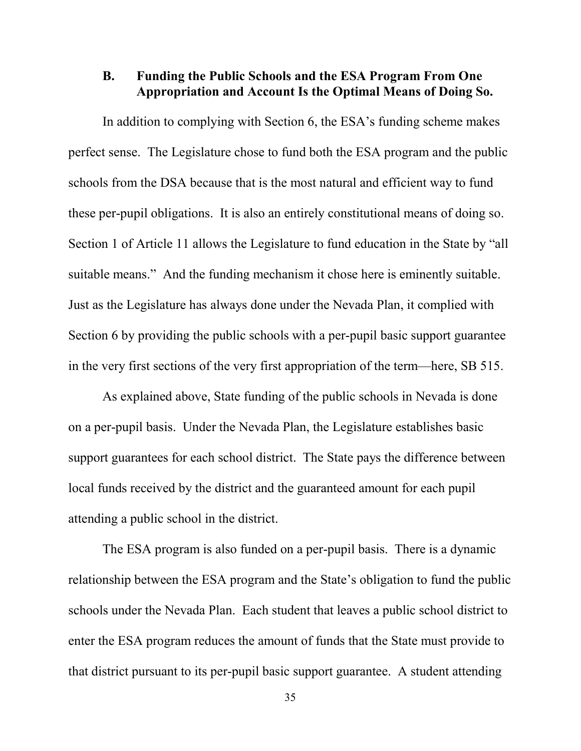## **B. Funding the Public Schools and the ESA Program From One Appropriation and Account Is the Optimal Means of Doing So.**

In addition to complying with Section 6, the ESA's funding scheme makes perfect sense. The Legislature chose to fund both the ESA program and the public schools from the DSA because that is the most natural and efficient way to fund these per-pupil obligations. It is also an entirely constitutional means of doing so. Section 1 of Article 11 allows the Legislature to fund education in the State by "all suitable means." And the funding mechanism it chose here is eminently suitable. Just as the Legislature has always done under the Nevada Plan, it complied with Section 6 by providing the public schools with a per-pupil basic support guarantee in the very first sections of the very first appropriation of the term—here, SB 515.

As explained above, State funding of the public schools in Nevada is done on a per-pupil basis. Under the Nevada Plan, the Legislature establishes basic support guarantees for each school district. The State pays the difference between local funds received by the district and the guaranteed amount for each pupil attending a public school in the district.

The ESA program is also funded on a per-pupil basis. There is a dynamic relationship between the ESA program and the State's obligation to fund the public schools under the Nevada Plan. Each student that leaves a public school district to enter the ESA program reduces the amount of funds that the State must provide to that district pursuant to its per-pupil basic support guarantee. A student attending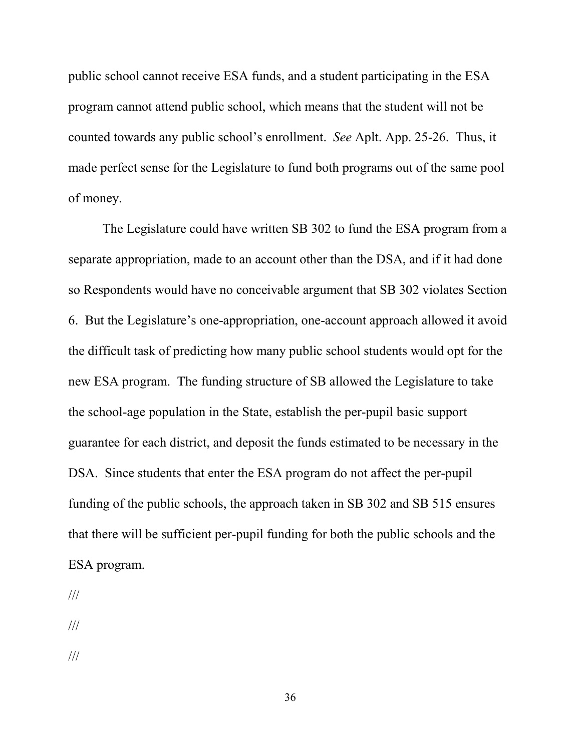public school cannot receive ESA funds, and a student participating in the ESA program cannot attend public school, which means that the student will not be counted towards any public school's enrollment. *See* Aplt. App. 25-26. Thus, it made perfect sense for the Legislature to fund both programs out of the same pool of money.

The Legislature could have written SB 302 to fund the ESA program from a separate appropriation, made to an account other than the DSA, and if it had done so Respondents would have no conceivable argument that SB 302 violates Section 6. But the Legislature's one-appropriation, one-account approach allowed it avoid the difficult task of predicting how many public school students would opt for the new ESA program. The funding structure of SB allowed the Legislature to take the school-age population in the State, establish the per-pupil basic support guarantee for each district, and deposit the funds estimated to be necessary in the DSA. Since students that enter the ESA program do not affect the per-pupil funding of the public schools, the approach taken in SB 302 and SB 515 ensures that there will be sufficient per-pupil funding for both the public schools and the ESA program.

///

///

///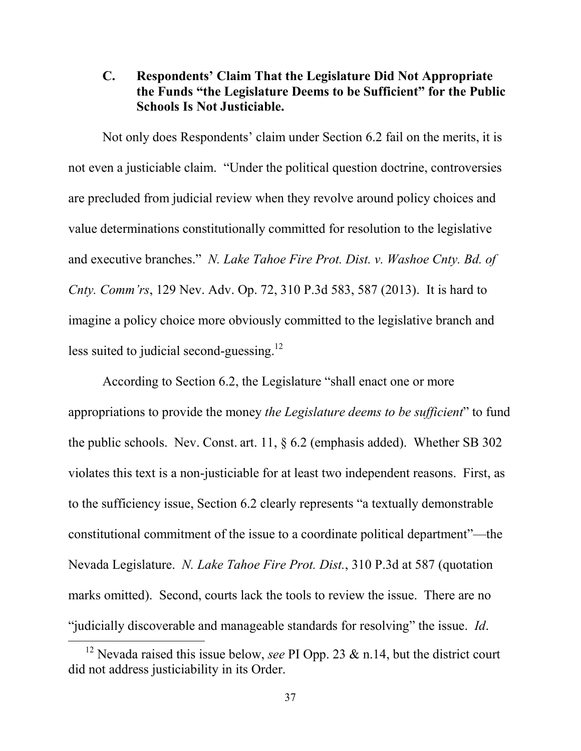# **C. Respondents' Claim That the Legislature Did Not Appropriate the Funds "the Legislature Deems to be Sufficient" for the Public Schools Is Not Justiciable.**

Not only does Respondents' claim under Section 6.2 fail on the merits, it is not even a justiciable claim. "Under the political question doctrine, controversies are precluded from judicial review when they revolve around policy choices and value determinations constitutionally committed for resolution to the legislative and executive branches." *N. Lake Tahoe Fire Prot. Dist. v. Washoe Cnty. Bd. of Cnty. Comm'rs*, 129 Nev. Adv. Op. 72, 310 P.3d 583, 587 (2013). It is hard to imagine a policy choice more obviously committed to the legislative branch and less suited to judicial second-guessing. $^{12}$ 

According to Section 6.2, the Legislature "shall enact one or more appropriations to provide the money *the Legislature deems to be sufficient*" to fund the public schools. Nev. Const. art. 11, § 6.2 (emphasis added). Whether SB 302 violates this text is a non-justiciable for at least two independent reasons. First, as to the sufficiency issue, Section 6.2 clearly represents "a textually demonstrable constitutional commitment of the issue to a coordinate political department"—the Nevada Legislature. *N. Lake Tahoe Fire Prot. Dist.*, 310 P.3d at 587 (quotation marks omitted). Second, courts lack the tools to review the issue. There are no "judicially discoverable and manageable standards for resolving" the issue. *Id*.

<sup>&</sup>lt;sup>12</sup> Nevada raised this issue below, *see* PI Opp. 23 & n.14, but the district court did not address justiciability in its Order.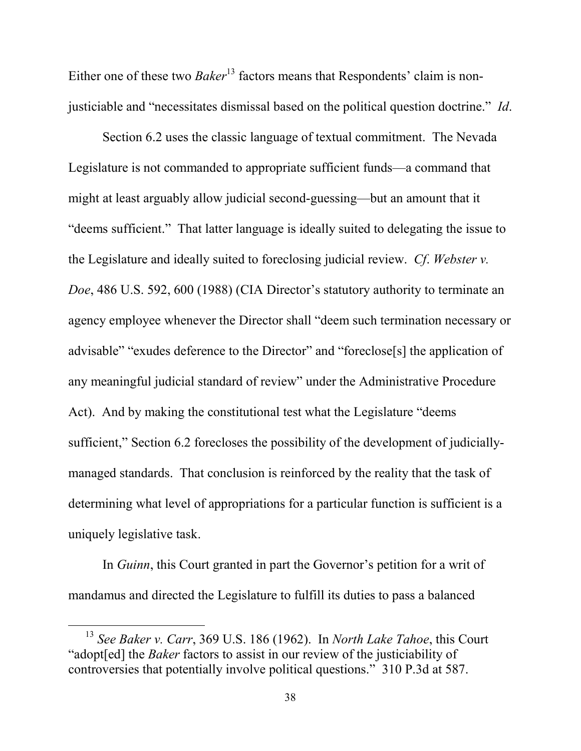Either one of these two *Baker*<sup>13</sup> factors means that Respondents' claim is nonjusticiable and "necessitates dismissal based on the political question doctrine." *Id*.

Section 6.2 uses the classic language of textual commitment. The Nevada Legislature is not commanded to appropriate sufficient funds—a command that might at least arguably allow judicial second-guessing—but an amount that it "deems sufficient." That latter language is ideally suited to delegating the issue to the Legislature and ideally suited to foreclosing judicial review. *Cf*. *Webster v. Doe*, 486 U.S. 592, 600 (1988) (CIA Director's statutory authority to terminate an agency employee whenever the Director shall "deem such termination necessary or advisable" "exudes deference to the Director" and "foreclose[s] the application of any meaningful judicial standard of review" under the Administrative Procedure Act). And by making the constitutional test what the Legislature "deems sufficient," Section 6.2 forecloses the possibility of the development of judiciallymanaged standards. That conclusion is reinforced by the reality that the task of determining what level of appropriations for a particular function is sufficient is a uniquely legislative task.

In *Guinn*, this Court granted in part the Governor's petition for a writ of mandamus and directed the Legislature to fulfill its duties to pass a balanced

<sup>13</sup> *See Baker v. Carr*, 369 U.S. 186 (1962). In *North Lake Tahoe*, this Court "adopt[ed] the *Baker* factors to assist in our review of the justiciability of controversies that potentially involve political questions." 310 P.3d at 587.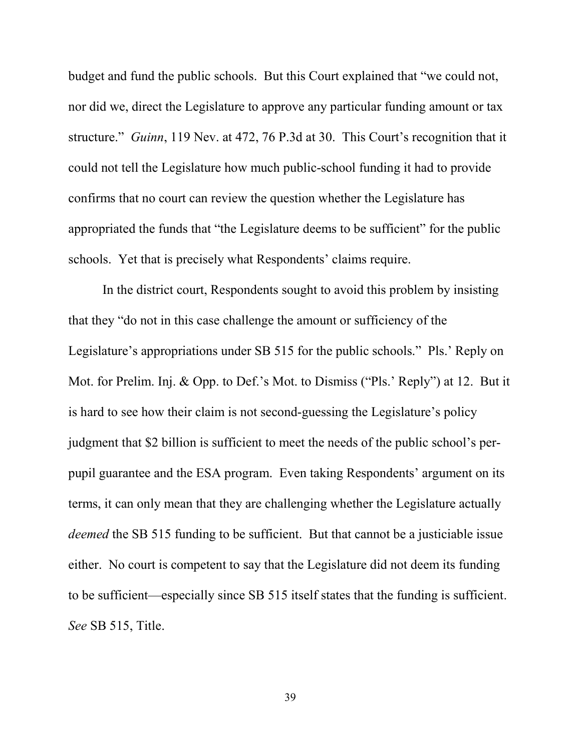budget and fund the public schools. But this Court explained that "we could not, nor did we, direct the Legislature to approve any particular funding amount or tax structure." *Guinn*, 119 Nev. at 472, 76 P.3d at 30. This Court's recognition that it could not tell the Legislature how much public-school funding it had to provide confirms that no court can review the question whether the Legislature has appropriated the funds that "the Legislature deems to be sufficient" for the public schools. Yet that is precisely what Respondents' claims require.

In the district court, Respondents sought to avoid this problem by insisting that they "do not in this case challenge the amount or sufficiency of the Legislature's appropriations under SB 515 for the public schools." Pls.' Reply on Mot. for Prelim. Inj. & Opp. to Def.'s Mot. to Dismiss ("Pls.' Reply") at 12. But it is hard to see how their claim is not second-guessing the Legislature's policy judgment that \$2 billion is sufficient to meet the needs of the public school's perpupil guarantee and the ESA program. Even taking Respondents' argument on its terms, it can only mean that they are challenging whether the Legislature actually *deemed* the SB 515 funding to be sufficient. But that cannot be a justiciable issue either. No court is competent to say that the Legislature did not deem its funding to be sufficient—especially since SB 515 itself states that the funding is sufficient. *See* SB 515, Title.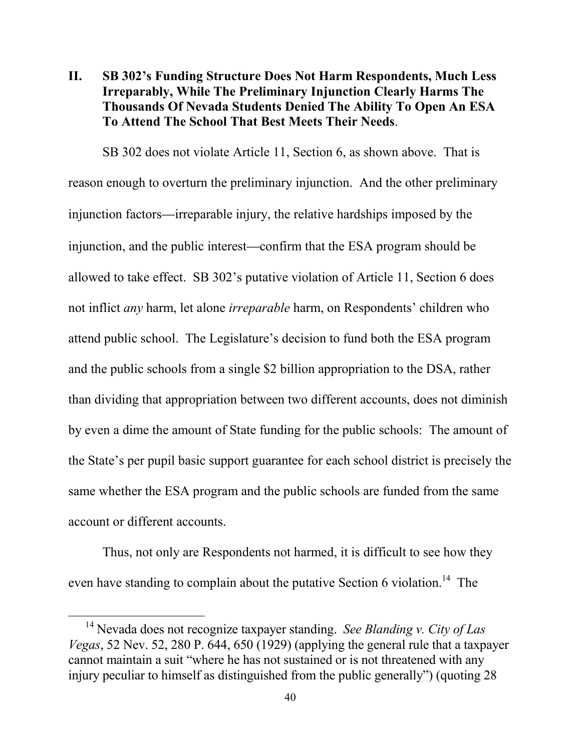# **II. SB 302's Funding Structure Does Not Harm Respondents, Much Less Irreparably, While The Preliminary Injunction Clearly Harms The Thousands Of Nevada Students Denied The Ability To Open An ESA To Attend The School That Best Meets Their Needs**.

SB 302 does not violate Article 11, Section 6, as shown above. That is reason enough to overturn the preliminary injunction. And the other preliminary injunction factors—irreparable injury, the relative hardships imposed by the injunction, and the public interest—confirm that the ESA program should be allowed to take effect. SB 302's putative violation of Article 11, Section 6 does not inflict *any* harm, let alone *irreparable* harm, on Respondents' children who attend public school. The Legislature's decision to fund both the ESA program and the public schools from a single \$2 billion appropriation to the DSA, rather than dividing that appropriation between two different accounts, does not diminish by even a dime the amount of State funding for the public schools: The amount of the State's per pupil basic support guarantee for each school district is precisely the same whether the ESA program and the public schools are funded from the same account or different accounts.

Thus, not only are Respondents not harmed, it is difficult to see how they even have standing to complain about the putative Section 6 violation.<sup>14</sup> The

<sup>14</sup> Nevada does not recognize taxpayer standing. *See Blanding v. City of Las Vegas*, 52 Nev. 52, 280 P. 644, 650 (1929) (applying the general rule that a taxpayer cannot maintain a suit "where he has not sustained or is not threatened with any injury peculiar to himself as distinguished from the public generally") (quoting 28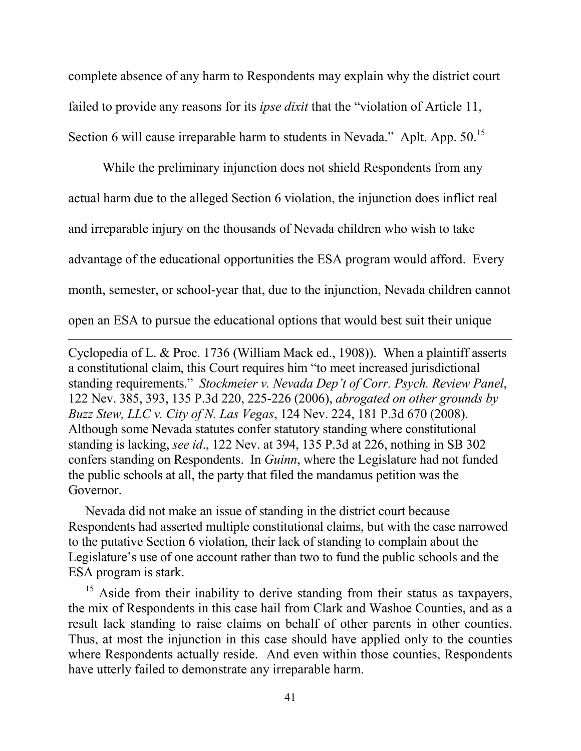complete absence of any harm to Respondents may explain why the district court failed to provide any reasons for its *ipse dixit* that the "violation of Article 11, Section 6 will cause irreparable harm to students in Nevada." Aplt. App. 50.<sup>15</sup>

While the preliminary injunction does not shield Respondents from any actual harm due to the alleged Section 6 violation, the injunction does inflict real and irreparable injury on the thousands of Nevada children who wish to take advantage of the educational opportunities the ESA program would afford. Every month, semester, or school-year that, due to the injunction, Nevada children cannot open an ESA to pursue the educational options that would best suit their unique

Cyclopedia of L. & Proc. 1736 (William Mack ed., 1908)). When a plaintiff asserts a constitutional claim, this Court requires him "to meet increased jurisdictional standing requirements." *Stockmeier v. Nevada Dep't of Corr. Psych. Review Panel*, 122 Nev. 385, 393, 135 P.3d 220, 225-226 (2006), *abrogated on other grounds by Buzz Stew, LLC v. City of N. Las Vegas*, 124 Nev. 224, 181 P.3d 670 (2008). Although some Nevada statutes confer statutory standing where constitutional standing is lacking, *see id*., 122 Nev. at 394, 135 P.3d at 226, nothing in SB 302 confers standing on Respondents. In *Guinn*, where the Legislature had not funded the public schools at all, the party that filed the mandamus petition was the Governor.

<u>.</u>

Nevada did not make an issue of standing in the district court because Respondents had asserted multiple constitutional claims, but with the case narrowed to the putative Section 6 violation, their lack of standing to complain about the Legislature's use of one account rather than two to fund the public schools and the ESA program is stark.

<sup>15</sup> Aside from their inability to derive standing from their status as taxpayers, the mix of Respondents in this case hail from Clark and Washoe Counties, and as a result lack standing to raise claims on behalf of other parents in other counties. Thus, at most the injunction in this case should have applied only to the counties where Respondents actually reside. And even within those counties, Respondents have utterly failed to demonstrate any irreparable harm.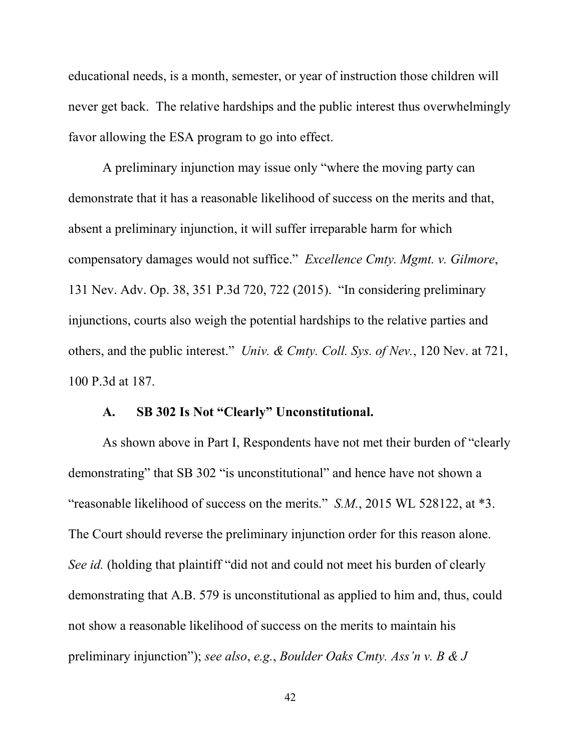educational needs, is a month, semester, or year of instruction those children will never get back. The relative hardships and the public interest thus overwhelmingly favor allowing the ESA program to go into effect.

A preliminary injunction may issue only "where the moving party can demonstrate that it has a reasonable likelihood of success on the merits and that, absent a preliminary injunction, it will suffer irreparable harm for which compensatory damages would not suffice." *Excellence Cmty. Mgmt. v. Gilmore*, 131 Nev. Adv. Op. 38, 351 P.3d 720, 722 (2015). "In considering preliminary injunctions, courts also weigh the potential hardships to the relative parties and others, and the public interest." *Univ. & Cmty. Coll. Sys. of Nev.*, 120 Nev. at 721, 100 P.3d at 187.

# **A. SB 302 Is Not "Clearly" Unconstitutional.**

As shown above in Part I, Respondents have not met their burden of "clearly demonstrating" that SB 302 "is unconstitutional" and hence have not shown a "reasonable likelihood of success on the merits." *S.M.*, 2015 WL 528122, at \*3. The Court should reverse the preliminary injunction order for this reason alone. *See id.* (holding that plaintiff "did not and could not meet his burden of clearly demonstrating that A.B. 579 is unconstitutional as applied to him and, thus, could not show a reasonable likelihood of success on the merits to maintain his preliminary injunction"); *see also*, *e.g.*, *Boulder Oaks Cmty. Ass'n v. B & J*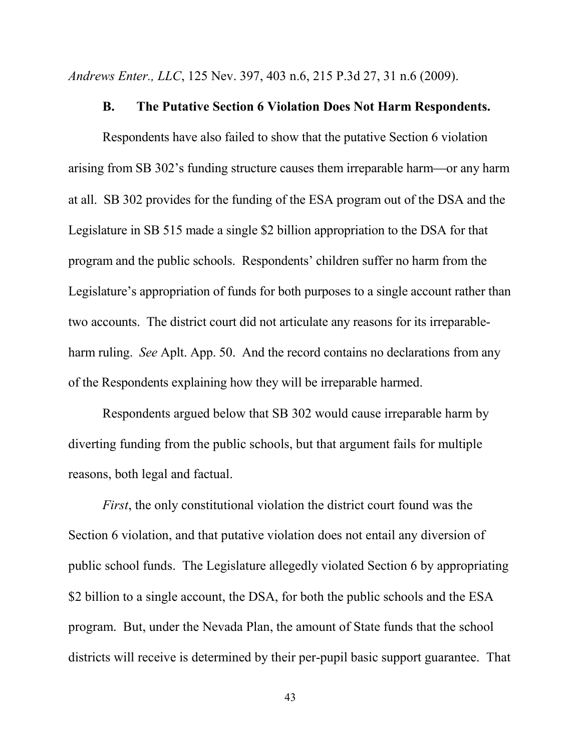*Andrews Enter., LLC*, 125 Nev. 397, 403 n.6, 215 P.3d 27, 31 n.6 (2009).

#### **B. The Putative Section 6 Violation Does Not Harm Respondents.**

Respondents have also failed to show that the putative Section 6 violation arising from SB 302's funding structure causes them irreparable harm—or any harm at all. SB 302 provides for the funding of the ESA program out of the DSA and the Legislature in SB 515 made a single \$2 billion appropriation to the DSA for that program and the public schools. Respondents' children suffer no harm from the Legislature's appropriation of funds for both purposes to a single account rather than two accounts. The district court did not articulate any reasons for its irreparableharm ruling. *See* Aplt. App. 50. And the record contains no declarations from any of the Respondents explaining how they will be irreparable harmed.

Respondents argued below that SB 302 would cause irreparable harm by diverting funding from the public schools, but that argument fails for multiple reasons, both legal and factual.

*First*, the only constitutional violation the district court found was the Section 6 violation, and that putative violation does not entail any diversion of public school funds. The Legislature allegedly violated Section 6 by appropriating \$2 billion to a single account, the DSA, for both the public schools and the ESA program. But, under the Nevada Plan, the amount of State funds that the school districts will receive is determined by their per-pupil basic support guarantee. That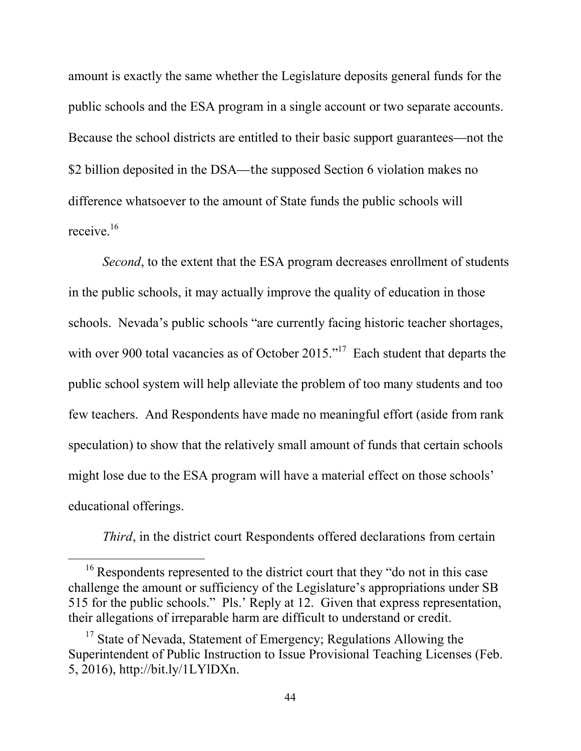amount is exactly the same whether the Legislature deposits general funds for the public schools and the ESA program in a single account or two separate accounts. Because the school districts are entitled to their basic support guarantees—not the \$2 billion deposited in the DSA—the supposed Section 6 violation makes no difference whatsoever to the amount of State funds the public schools will receive<sup>16</sup>

*Second*, to the extent that the ESA program decreases enrollment of students in the public schools, it may actually improve the quality of education in those schools. Nevada's public schools "are currently facing historic teacher shortages, with over 900 total vacancies as of October 2015."<sup>17</sup> Each student that departs the public school system will help alleviate the problem of too many students and too few teachers. And Respondents have made no meaningful effort (aside from rank speculation) to show that the relatively small amount of funds that certain schools might lose due to the ESA program will have a material effect on those schools' educational offerings.

*Third*, in the district court Respondents offered declarations from certain

<sup>&</sup>lt;sup>16</sup> Respondents represented to the district court that they "do not in this case challenge the amount or sufficiency of the Legislature's appropriations under SB 515 for the public schools." Pls.' Reply at 12. Given that express representation, their allegations of irreparable harm are difficult to understand or credit.

<sup>&</sup>lt;sup>17</sup> State of Nevada, Statement of Emergency; Regulations Allowing the Superintendent of Public Instruction to Issue Provisional Teaching Licenses (Feb. 5, 2016), http://bit.ly/1LYlDXn.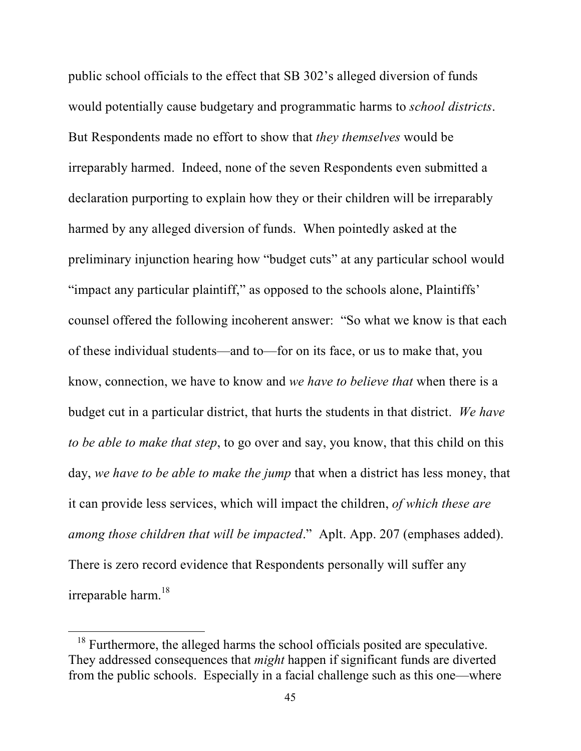public school officials to the effect that SB 302's alleged diversion of funds would potentially cause budgetary and programmatic harms to *school districts*. But Respondents made no effort to show that *they themselves* would be irreparably harmed. Indeed, none of the seven Respondents even submitted a declaration purporting to explain how they or their children will be irreparably harmed by any alleged diversion of funds. When pointedly asked at the preliminary injunction hearing how "budget cuts" at any particular school would "impact any particular plaintiff," as opposed to the schools alone, Plaintiffs' counsel offered the following incoherent answer: "So what we know is that each of these individual students—and to—for on its face, or us to make that, you know, connection, we have to know and *we have to believe that* when there is a budget cut in a particular district, that hurts the students in that district. *We have to be able to make that step*, to go over and say, you know, that this child on this day, *we have to be able to make the jump* that when a district has less money, that it can provide less services, which will impact the children, *of which these are among those children that will be impacted*." Aplt. App. 207 (emphases added). There is zero record evidence that Respondents personally will suffer any irreparable harm.<sup>18</sup>

<sup>&</sup>lt;sup>18</sup> Furthermore, the alleged harms the school officials posited are speculative. They addressed consequences that *might* happen if significant funds are diverted from the public schools. Especially in a facial challenge such as this one—where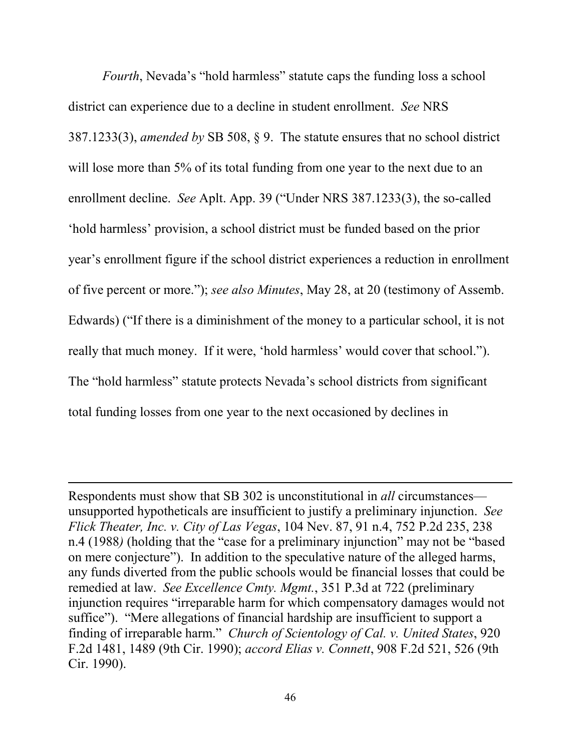*Fourth*, Nevada's "hold harmless" statute caps the funding loss a school district can experience due to a decline in student enrollment. *See* NRS 387.1233(3), *amended by* SB 508, § 9. The statute ensures that no school district will lose more than 5% of its total funding from one year to the next due to an enrollment decline. *See* Aplt. App. 39 ("Under NRS 387.1233(3), the so-called 'hold harmless' provision, a school district must be funded based on the prior year's enrollment figure if the school district experiences a reduction in enrollment of five percent or more."); *see also Minutes*, May 28, at 20 (testimony of Assemb. Edwards) ("If there is a diminishment of the money to a particular school, it is not really that much money. If it were, 'hold harmless' would cover that school."). The "hold harmless" statute protects Nevada's school districts from significant total funding losses from one year to the next occasioned by declines in

-

Respondents must show that SB 302 is unconstitutional in *all* circumstances unsupported hypotheticals are insufficient to justify a preliminary injunction. *See Flick Theater, Inc. v. City of Las Vegas*, 104 Nev. 87, 91 n.4, 752 P.2d 235, 238 n.4 (1988*)* (holding that the "case for a preliminary injunction" may not be "based on mere conjecture"). In addition to the speculative nature of the alleged harms, any funds diverted from the public schools would be financial losses that could be remedied at law. *See Excellence Cmty. Mgmt.*, 351 P.3d at 722 (preliminary injunction requires "irreparable harm for which compensatory damages would not suffice"). "Mere allegations of financial hardship are insufficient to support a finding of irreparable harm." *Church of Scientology of Cal. v. United States*, 920 F.2d 1481, 1489 (9th Cir. 1990); *accord Elias v. Connett*, 908 F.2d 521, 526 (9th Cir. 1990).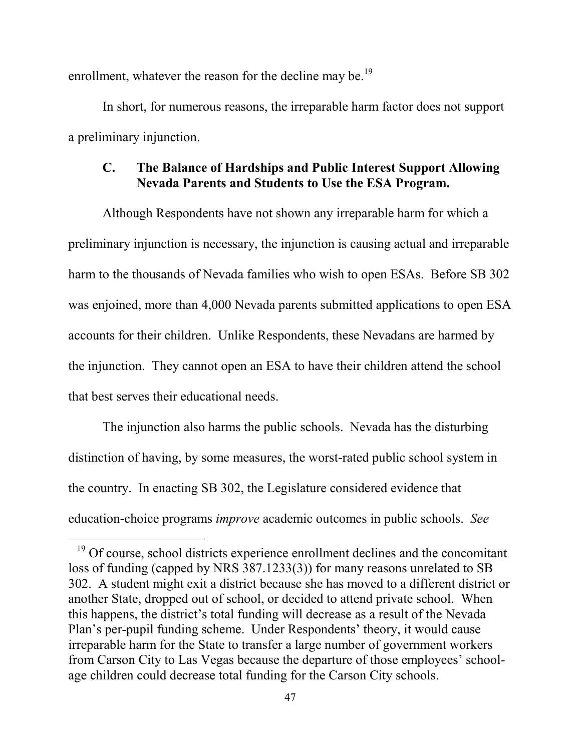enrollment, whatever the reason for the decline may be.<sup>19</sup>

In short, for numerous reasons, the irreparable harm factor does not support a preliminary injunction.

# **C. The Balance of Hardships and Public Interest Support Allowing Nevada Parents and Students to Use the ESA Program.**

Although Respondents have not shown any irreparable harm for which a preliminary injunction is necessary, the injunction is causing actual and irreparable harm to the thousands of Nevada families who wish to open ESAs. Before SB 302 was enjoined, more than 4,000 Nevada parents submitted applications to open ESA accounts for their children. Unlike Respondents, these Nevadans are harmed by the injunction. They cannot open an ESA to have their children attend the school that best serves their educational needs.

The injunction also harms the public schools. Nevada has the disturbing distinction of having, by some measures, the worst-rated public school system in the country. In enacting SB 302, the Legislature considered evidence that education-choice programs *improve* academic outcomes in public schools. *See* 

-

<sup>&</sup>lt;sup>19</sup> Of course, school districts experience enrollment declines and the concomitant loss of funding (capped by NRS 387.1233(3)) for many reasons unrelated to SB 302. A student might exit a district because she has moved to a different district or another State, dropped out of school, or decided to attend private school. When this happens, the district's total funding will decrease as a result of the Nevada Plan's per-pupil funding scheme. Under Respondents' theory, it would cause irreparable harm for the State to transfer a large number of government workers from Carson City to Las Vegas because the departure of those employees' schoolage children could decrease total funding for the Carson City schools.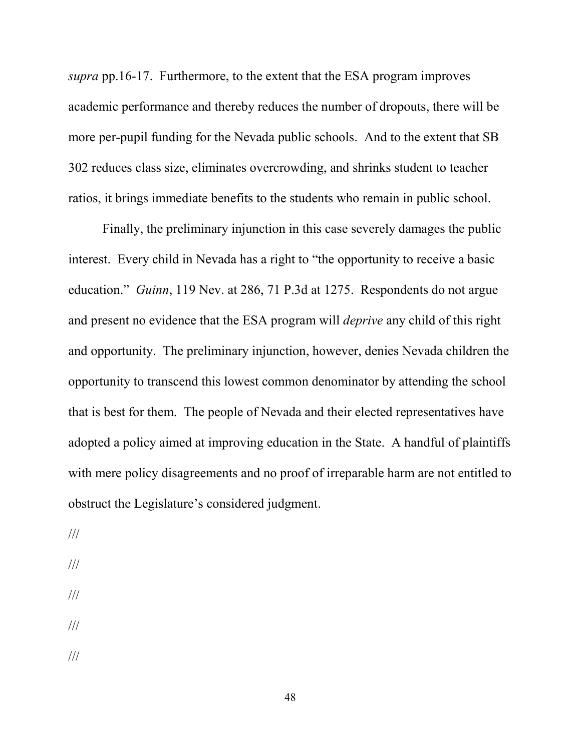*supra* pp.16-17. Furthermore, to the extent that the ESA program improves academic performance and thereby reduces the number of dropouts, there will be more per-pupil funding for the Nevada public schools. And to the extent that SB 302 reduces class size, eliminates overcrowding, and shrinks student to teacher ratios, it brings immediate benefits to the students who remain in public school.

Finally, the preliminary injunction in this case severely damages the public interest. Every child in Nevada has a right to "the opportunity to receive a basic education." *Guinn*, 119 Nev. at 286, 71 P.3d at 1275. Respondents do not argue and present no evidence that the ESA program will *deprive* any child of this right and opportunity. The preliminary injunction, however, denies Nevada children the opportunity to transcend this lowest common denominator by attending the school that is best for them. The people of Nevada and their elected representatives have adopted a policy aimed at improving education in the State. A handful of plaintiffs with mere policy disagreements and no proof of irreparable harm are not entitled to obstruct the Legislature's considered judgment.

///

- ///
- ///
- ///
- ///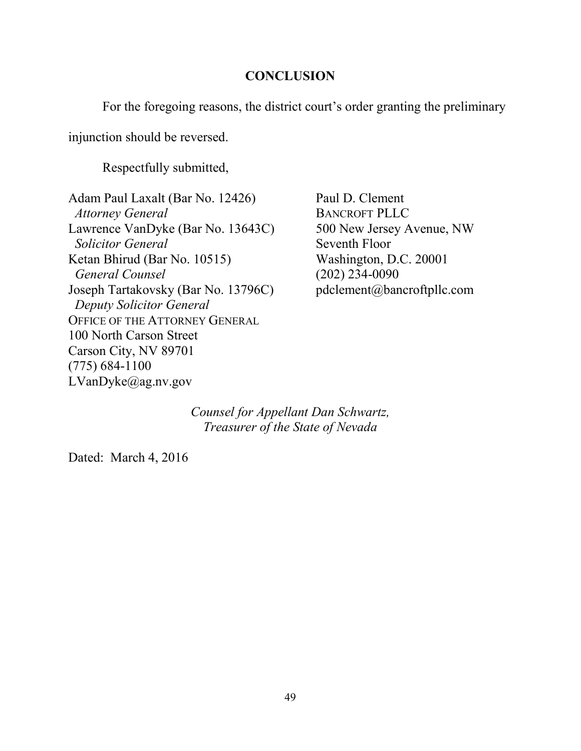### **CONCLUSION**

For the foregoing reasons, the district court's order granting the preliminary

injunction should be reversed.

Respectfully submitted,

Adam Paul Laxalt (Bar No. 12426) Paul D. Clement *Attorney General* BANCROFT PLLC Lawrence VanDyke (Bar No. 13643C) 500 New Jersey Avenue, NW **Solicitor General Seventh Floor** Ketan Bhirud (Bar No. 10515) Washington, D.C. 20001  *General Counsel* (202) 234-0090 Joseph Tartakovsky (Bar No. 13796C) pdclement@bancroftpllc.com  *Deputy Solicitor General* OFFICE OF THE ATTORNEY GENERAL 100 North Carson Street Carson City, NV 89701 (775) 684-1100 LVanDyke@ag.nv.gov

*Counsel for Appellant Dan Schwartz, Treasurer of the State of Nevada* 

Dated: March 4, 2016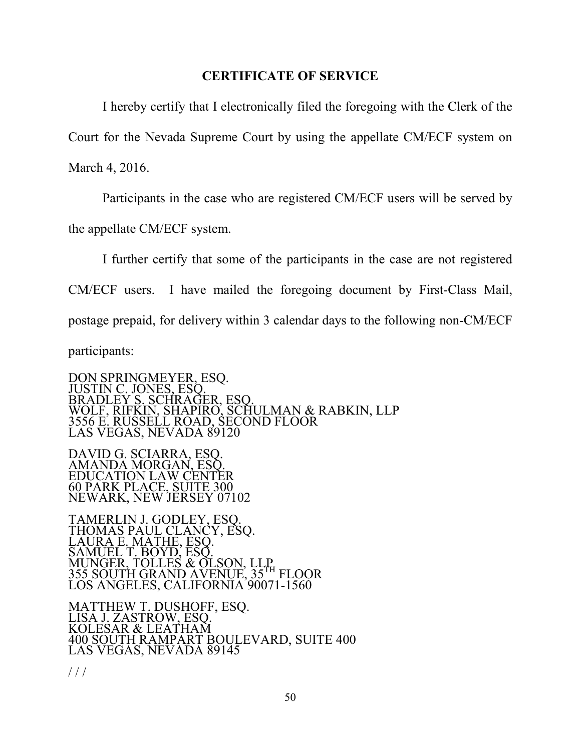### **CERTIFICATE OF SERVICE**

 I hereby certify that I electronically filed the foregoing with the Clerk of the Court for the Nevada Supreme Court by using the appellate CM/ECF system on March 4, 2016.

 Participants in the case who are registered CM/ECF users will be served by the appellate CM/ECF system.

 I further certify that some of the participants in the case are not registered CM/ECF users. I have mailed the foregoing document by First-Class Mail, postage prepaid, for delivery within 3 calendar days to the following non-CM/ECF participants:

DON SPRINGMEYER, ESQ. JUSTIN C. JONES, ESQ. BRADLEY S. SCHRAGER, ESQ. WOLF, RIFKIN, SHAPIRO, SCHULMAN & RABKIN, LLP 3556 E. RUSSELL ROAD, SECOND FLOOR LAS VEGAS, NEVADA 89120

DAVID G. SCIARRA, ESQ. AMANDA MORGAN, ESQ. EDUCATION LAW CENTER 60 PARK PLACE, SUITE 300 NEWARK, NEW JERSEY 07102

TAMERLIN J. GODLEY, ESQ. THOMAS PAUL CLANCY, ESQ. LAURA E. MATHE, ESQ. SAMUEL T. BOYD, ESQ. MUNGER, TOLLES & OLSON, LLP 355 SOUTH GRAND AVENUE, 35TH FLOOR LOS ANGELES, CALIFORNIA 90071-1560

MATTHEW T. DUSHOFF, ESQ. LISA J. ZASTROW, ESQ. KOLESAR & LEATHAM 400 SOUTH RAMPART BOULEVARD, SUITE 400 LAS VEGAS, NEVADA 89145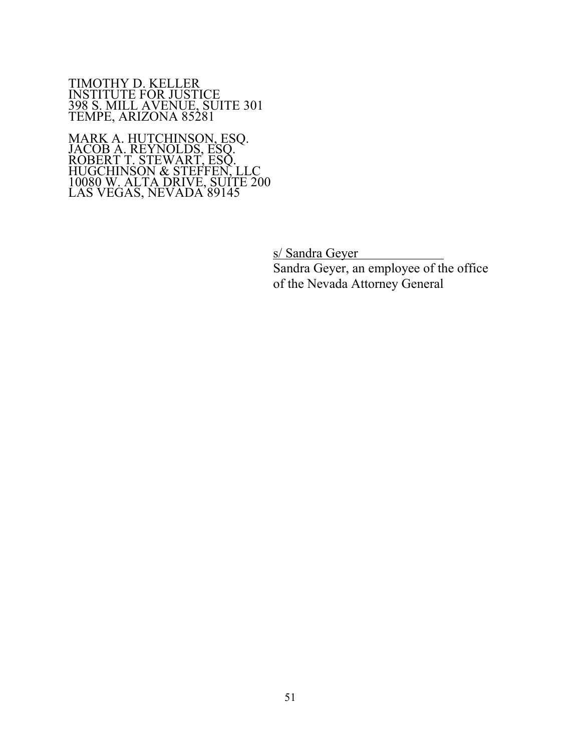TIMOTHY D. KELLER INSTITUTE FOR JUSTICE 398 S. MILL AVENUE, SUITE 301 TEMPE, ARIZONA 85281

MARK A. HUTCHINSON, ESQ. JACOB A. REYNOLDS, ESQ. ROBERT T. STEWART, ESQ. HUGCHINSON & STEFFEN, LLC 10080 W. ALTA DRIVE, SUITE 200 LAS VEGAS, NEVADA 89145

s/ Sandra Geyer

 Sandra Geyer, an employee of the office of the Nevada Attorney General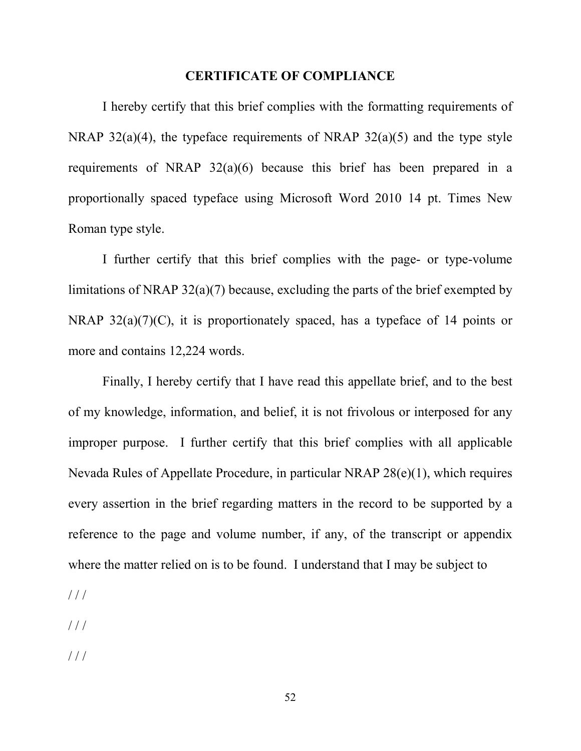#### **CERTIFICATE OF COMPLIANCE**

 I hereby certify that this brief complies with the formatting requirements of NRAP  $32(a)(4)$ , the typeface requirements of NRAP  $32(a)(5)$  and the type style requirements of NRAP 32(a)(6) because this brief has been prepared in a proportionally spaced typeface using Microsoft Word 2010 14 pt. Times New Roman type style.

 I further certify that this brief complies with the page- or type-volume limitations of NRAP 32(a)(7) because, excluding the parts of the brief exempted by NRAP  $32(a)(7)(C)$ , it is proportionately spaced, has a typeface of 14 points or more and contains 12,224 words.

 Finally, I hereby certify that I have read this appellate brief, and to the best of my knowledge, information, and belief, it is not frivolous or interposed for any improper purpose. I further certify that this brief complies with all applicable Nevada Rules of Appellate Procedure, in particular NRAP 28(e)(1), which requires every assertion in the brief regarding matters in the record to be supported by a reference to the page and volume number, if any, of the transcript or appendix where the matter relied on is to be found. I understand that I may be subject to

 $//$ 

/ / /

/ / /